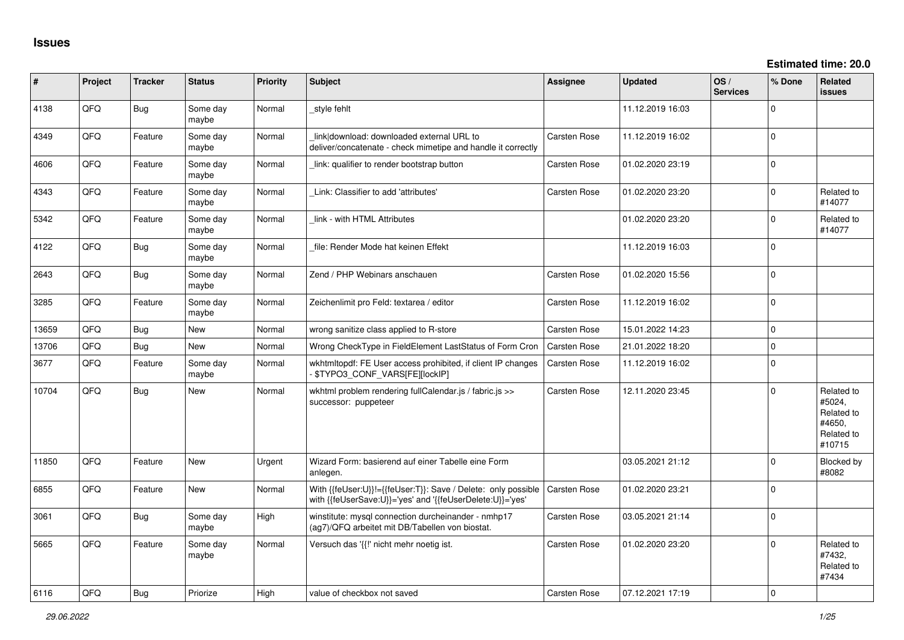| #     | Project | <b>Tracker</b> | <b>Status</b>     | <b>Priority</b> | Subject                                                                                                                    | Assignee            | <b>Updated</b>   | OS/<br><b>Services</b> | % Done       | Related<br>issues                                                    |
|-------|---------|----------------|-------------------|-----------------|----------------------------------------------------------------------------------------------------------------------------|---------------------|------------------|------------------------|--------------|----------------------------------------------------------------------|
| 4138  | QFQ     | <b>Bug</b>     | Some day<br>maybe | Normal          | style fehlt                                                                                                                |                     | 11.12.2019 16:03 |                        | $\mathbf{0}$ |                                                                      |
| 4349  | QFQ     | Feature        | Some day<br>maybe | Normal          | link download: downloaded external URL to<br>deliver/concatenate - check mimetipe and handle it correctly                  | Carsten Rose        | 11.12.2019 16:02 |                        | $\Omega$     |                                                                      |
| 4606  | QFQ     | Feature        | Some day<br>maybe | Normal          | link: qualifier to render bootstrap button                                                                                 | <b>Carsten Rose</b> | 01.02.2020 23:19 |                        | $\Omega$     |                                                                      |
| 4343  | QFQ     | Feature        | Some day<br>maybe | Normal          | Link: Classifier to add 'attributes'                                                                                       | Carsten Rose        | 01.02.2020 23:20 |                        | 0            | Related to<br>#14077                                                 |
| 5342  | QFQ     | Feature        | Some day<br>maybe | Normal          | link - with HTML Attributes                                                                                                |                     | 01.02.2020 23:20 |                        | $\Omega$     | Related to<br>#14077                                                 |
| 4122  | QFQ     | Bug            | Some day<br>maybe | Normal          | file: Render Mode hat keinen Effekt                                                                                        |                     | 11.12.2019 16:03 |                        | $\Omega$     |                                                                      |
| 2643  | QFQ     | <b>Bug</b>     | Some day<br>maybe | Normal          | Zend / PHP Webinars anschauen                                                                                              | <b>Carsten Rose</b> | 01.02.2020 15:56 |                        | 0            |                                                                      |
| 3285  | QFQ     | Feature        | Some day<br>maybe | Normal          | Zeichenlimit pro Feld: textarea / editor                                                                                   | Carsten Rose        | 11.12.2019 16:02 |                        | $\mathbf{0}$ |                                                                      |
| 13659 | QFQ     | Bug            | <b>New</b>        | Normal          | wrong sanitize class applied to R-store                                                                                    | <b>Carsten Rose</b> | 15.01.2022 14:23 |                        | 0            |                                                                      |
| 13706 | QFQ     | <b>Bug</b>     | <b>New</b>        | Normal          | Wrong CheckType in FieldElement LastStatus of Form Cron                                                                    | <b>Carsten Rose</b> | 21.01.2022 18:20 |                        | 0            |                                                                      |
| 3677  | QFQ     | Feature        | Some day<br>maybe | Normal          | wkhtmltopdf: FE User access prohibited, if client IP changes<br>\$TYPO3_CONF_VARS[FE][locklP]                              | <b>Carsten Rose</b> | 11.12.2019 16:02 |                        | $\Omega$     |                                                                      |
| 10704 | QFQ     | <b>Bug</b>     | <b>New</b>        | Normal          | wkhtml problem rendering fullCalendar.js / fabric.js >><br>successor: puppeteer                                            | Carsten Rose        | 12.11.2020 23:45 |                        | 0            | Related to<br>#5024,<br>Related to<br>#4650,<br>Related to<br>#10715 |
| 11850 | QFQ     | Feature        | <b>New</b>        | Urgent          | Wizard Form: basierend auf einer Tabelle eine Form<br>anlegen.                                                             |                     | 03.05.2021 21:12 |                        | $\Omega$     | Blocked by<br>#8082                                                  |
| 6855  | QFQ     | Feature        | New               | Normal          | With {{feUser:U}}!={{feUser:T}}: Save / Delete: only possible<br>with {{feUserSave:U}}='yes' and '{{feUserDelete:U}}='yes' | Carsten Rose        | 01.02.2020 23:21 |                        | 0            |                                                                      |
| 3061  | QFQ     | <b>Bug</b>     | Some day<br>maybe | High            | winstitute: mysgl connection durcheinander - nmhp17<br>(ag7)/QFQ arbeitet mit DB/Tabellen von biostat.                     | <b>Carsten Rose</b> | 03.05.2021 21:14 |                        | $\mathbf{0}$ |                                                                      |
| 5665  | QFQ     | Feature        | Some day<br>maybe | Normal          | Versuch das '{{!' nicht mehr noetig ist.                                                                                   | <b>Carsten Rose</b> | 01.02.2020 23:20 |                        | $\Omega$     | Related to<br>#7432,<br>Related to<br>#7434                          |
| 6116  | OFO     | Bug            | Priorize          | Hiah            | value of checkbox not saved                                                                                                | <b>Carsten Rose</b> | 07.12.2021 17:19 |                        | $\Omega$     |                                                                      |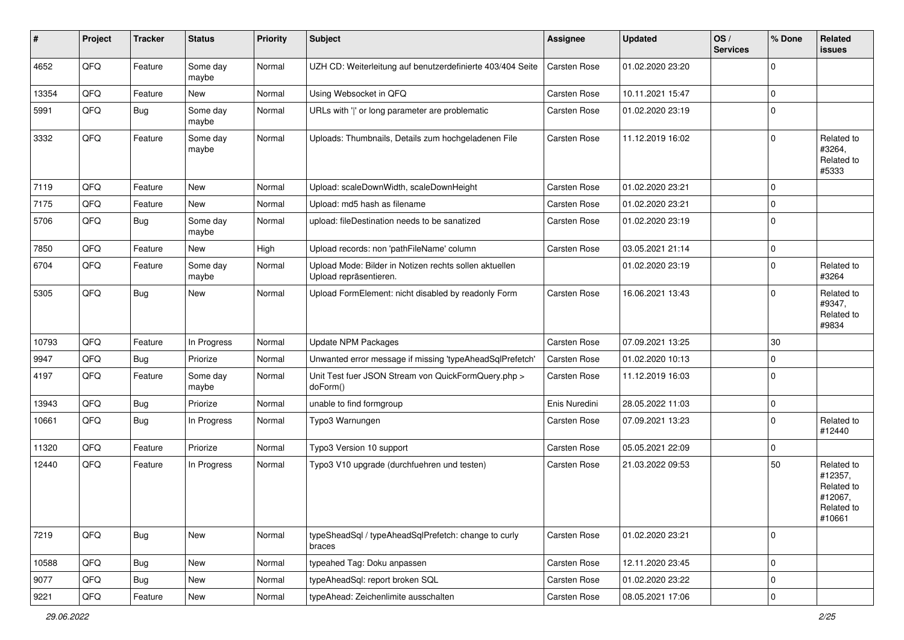| #     | Project | <b>Tracker</b> | <b>Status</b>     | <b>Priority</b> | <b>Subject</b>                                                                   | <b>Assignee</b> | <b>Updated</b>   | OS/<br><b>Services</b> | % Done      | Related<br><b>issues</b>                                               |
|-------|---------|----------------|-------------------|-----------------|----------------------------------------------------------------------------------|-----------------|------------------|------------------------|-------------|------------------------------------------------------------------------|
| 4652  | QFQ     | Feature        | Some day<br>maybe | Normal          | UZH CD: Weiterleitung auf benutzerdefinierte 403/404 Seite                       | Carsten Rose    | 01.02.2020 23:20 |                        | $\Omega$    |                                                                        |
| 13354 | QFQ     | Feature        | New               | Normal          | Using Websocket in QFQ                                                           | Carsten Rose    | 10.11.2021 15:47 |                        | $\mathbf 0$ |                                                                        |
| 5991  | QFQ     | Bug            | Some day<br>maybe | Normal          | URLs with ' ' or long parameter are problematic                                  | Carsten Rose    | 01.02.2020 23:19 |                        | $\Omega$    |                                                                        |
| 3332  | QFQ     | Feature        | Some day<br>maybe | Normal          | Uploads: Thumbnails, Details zum hochgeladenen File                              | Carsten Rose    | 11.12.2019 16:02 |                        | $\Omega$    | Related to<br>#3264,<br>Related to<br>#5333                            |
| 7119  | QFQ     | Feature        | New               | Normal          | Upload: scaleDownWidth, scaleDownHeight                                          | Carsten Rose    | 01.02.2020 23:21 |                        | $\mathbf 0$ |                                                                        |
| 7175  | QFQ     | Feature        | New               | Normal          | Upload: md5 hash as filename                                                     | Carsten Rose    | 01.02.2020 23:21 |                        | 0           |                                                                        |
| 5706  | QFQ     | Bug            | Some day<br>maybe | Normal          | upload: fileDestination needs to be sanatized                                    | Carsten Rose    | 01.02.2020 23:19 |                        | $\mathbf 0$ |                                                                        |
| 7850  | QFQ     | Feature        | New               | High            | Upload records: non 'pathFileName' column                                        | Carsten Rose    | 03.05.2021 21:14 |                        | $\mathbf 0$ |                                                                        |
| 6704  | QFQ     | Feature        | Some day<br>maybe | Normal          | Upload Mode: Bilder in Notizen rechts sollen aktuellen<br>Upload repräsentieren. |                 | 01.02.2020 23:19 |                        | $\Omega$    | Related to<br>#3264                                                    |
| 5305  | QFQ     | Bug            | <b>New</b>        | Normal          | Upload FormElement: nicht disabled by readonly Form                              | Carsten Rose    | 16.06.2021 13:43 |                        | $\Omega$    | Related to<br>#9347,<br>Related to<br>#9834                            |
| 10793 | QFQ     | Feature        | In Progress       | Normal          | <b>Update NPM Packages</b>                                                       | Carsten Rose    | 07.09.2021 13:25 |                        | 30          |                                                                        |
| 9947  | QFQ     | Bug            | Priorize          | Normal          | Unwanted error message if missing 'typeAheadSqlPrefetch'                         | Carsten Rose    | 01.02.2020 10:13 |                        | $\mathbf 0$ |                                                                        |
| 4197  | QFQ     | Feature        | Some day<br>maybe | Normal          | Unit Test fuer JSON Stream von QuickFormQuery.php ><br>doForm()                  | Carsten Rose    | 11.12.2019 16:03 |                        | $\mathbf 0$ |                                                                        |
| 13943 | QFQ     | Bug            | Priorize          | Normal          | unable to find formgroup                                                         | Enis Nuredini   | 28.05.2022 11:03 |                        | $\mathbf 0$ |                                                                        |
| 10661 | QFQ     | Bug            | In Progress       | Normal          | Typo3 Warnungen                                                                  | Carsten Rose    | 07.09.2021 13:23 |                        | $\Omega$    | Related to<br>#12440                                                   |
| 11320 | QFQ     | Feature        | Priorize          | Normal          | Typo3 Version 10 support                                                         | Carsten Rose    | 05.05.2021 22:09 |                        | $\mathbf 0$ |                                                                        |
| 12440 | QFQ     | Feature        | In Progress       | Normal          | Typo3 V10 upgrade (durchfuehren und testen)                                      | Carsten Rose    | 21.03.2022 09:53 |                        | 50          | Related to<br>#12357,<br>Related to<br>#12067,<br>Related to<br>#10661 |
| 7219  | QFG     | Bug            | New               | Normal          | typeSheadSql / typeAheadSqlPrefetch: change to curly<br>braces                   | Carsten Rose    | 01.02.2020 23:21 |                        | $\mathbf 0$ |                                                                        |
| 10588 | QFO     | Bug            | New               | Normal          | typeahed Tag: Doku anpassen                                                      | Carsten Rose    | 12.11.2020 23:45 |                        | $\mathbf 0$ |                                                                        |
| 9077  | QFQ     | <b>Bug</b>     | New               | Normal          | typeAheadSql: report broken SQL                                                  | Carsten Rose    | 01.02.2020 23:22 |                        | 0           |                                                                        |
| 9221  | QFG     | Feature        | New               | Normal          | typeAhead: Zeichenlimite ausschalten                                             | Carsten Rose    | 08.05.2021 17:06 |                        | $\mathbf 0$ |                                                                        |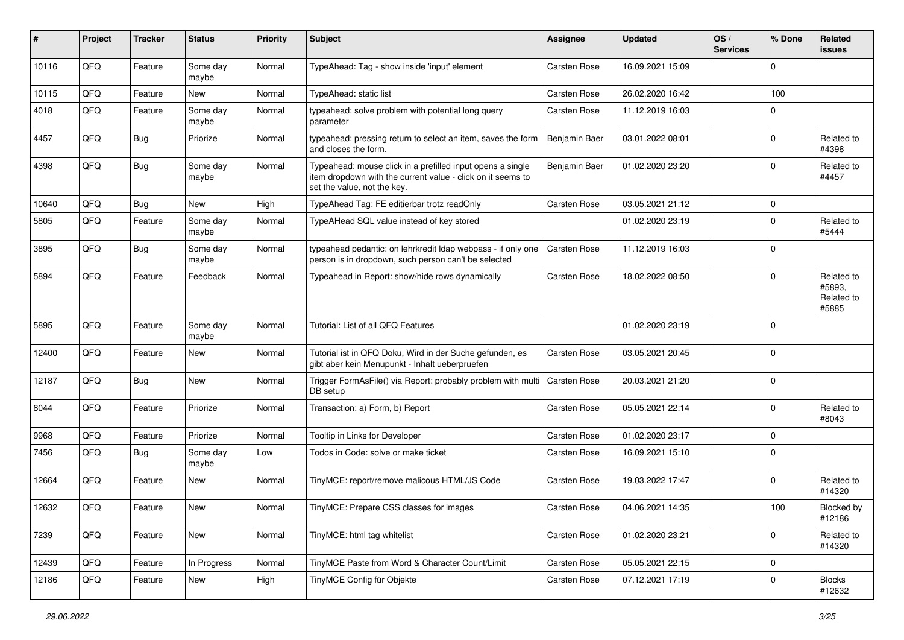| ∦     | Project | <b>Tracker</b> | <b>Status</b>     | <b>Priority</b> | <b>Subject</b>                                                                                                                                           | <b>Assignee</b>     | <b>Updated</b>   | OS/<br><b>Services</b> | % Done      | Related<br><b>issues</b>                    |
|-------|---------|----------------|-------------------|-----------------|----------------------------------------------------------------------------------------------------------------------------------------------------------|---------------------|------------------|------------------------|-------------|---------------------------------------------|
| 10116 | QFQ     | Feature        | Some day<br>maybe | Normal          | TypeAhead: Tag - show inside 'input' element                                                                                                             | Carsten Rose        | 16.09.2021 15:09 |                        | $\Omega$    |                                             |
| 10115 | QFQ     | Feature        | New               | Normal          | TypeAhead: static list                                                                                                                                   | Carsten Rose        | 26.02.2020 16:42 |                        | 100         |                                             |
| 4018  | QFQ     | Feature        | Some day<br>maybe | Normal          | typeahead: solve problem with potential long query<br>parameter                                                                                          | Carsten Rose        | 11.12.2019 16:03 |                        | $\Omega$    |                                             |
| 4457  | QFQ     | Bug            | Priorize          | Normal          | typeahead: pressing return to select an item, saves the form<br>and closes the form.                                                                     | Benjamin Baer       | 03.01.2022 08:01 |                        | $\Omega$    | Related to<br>#4398                         |
| 4398  | QFQ     | Bug            | Some day<br>maybe | Normal          | Typeahead: mouse click in a prefilled input opens a single<br>item dropdown with the current value - click on it seems to<br>set the value, not the key. | Benjamin Baer       | 01.02.2020 23:20 |                        | $\Omega$    | Related to<br>#4457                         |
| 10640 | QFQ     | Bug            | <b>New</b>        | High            | TypeAhead Tag: FE editierbar trotz readOnly                                                                                                              | <b>Carsten Rose</b> | 03.05.2021 21:12 |                        | $\mathbf 0$ |                                             |
| 5805  | QFQ     | Feature        | Some day<br>maybe | Normal          | TypeAHead SQL value instead of key stored                                                                                                                |                     | 01.02.2020 23:19 |                        | $\Omega$    | Related to<br>#5444                         |
| 3895  | QFQ     | Bug            | Some day<br>maybe | Normal          | typeahead pedantic: on lehrkredit Idap webpass - if only one<br>person is in dropdown, such person can't be selected                                     | <b>Carsten Rose</b> | 11.12.2019 16:03 |                        | $\mathbf 0$ |                                             |
| 5894  | QFQ     | Feature        | Feedback          | Normal          | Typeahead in Report: show/hide rows dynamically                                                                                                          | Carsten Rose        | 18.02.2022 08:50 |                        | $\Omega$    | Related to<br>#5893,<br>Related to<br>#5885 |
| 5895  | QFQ     | Feature        | Some day<br>maybe | Normal          | Tutorial: List of all QFQ Features                                                                                                                       |                     | 01.02.2020 23:19 |                        | $\Omega$    |                                             |
| 12400 | QFQ     | Feature        | <b>New</b>        | Normal          | Tutorial ist in QFQ Doku, Wird in der Suche gefunden, es<br>gibt aber kein Menupunkt - Inhalt ueberpruefen                                               | Carsten Rose        | 03.05.2021 20:45 |                        | $\Omega$    |                                             |
| 12187 | QFQ     | Bug            | <b>New</b>        | Normal          | Trigger FormAsFile() via Report: probably problem with multi<br>DB setup                                                                                 | Carsten Rose        | 20.03.2021 21:20 |                        | $\Omega$    |                                             |
| 8044  | QFQ     | Feature        | Priorize          | Normal          | Transaction: a) Form, b) Report                                                                                                                          | Carsten Rose        | 05.05.2021 22:14 |                        | $\Omega$    | Related to<br>#8043                         |
| 9968  | QFQ     | Feature        | Priorize          | Normal          | Tooltip in Links for Developer                                                                                                                           | Carsten Rose        | 01.02.2020 23:17 |                        | $\Omega$    |                                             |
| 7456  | QFQ     | Bug            | Some day<br>maybe | Low             | Todos in Code: solve or make ticket                                                                                                                      | Carsten Rose        | 16.09.2021 15:10 |                        | $\Omega$    |                                             |
| 12664 | QFQ     | Feature        | <b>New</b>        | Normal          | TinyMCE: report/remove malicous HTML/JS Code                                                                                                             | Carsten Rose        | 19.03.2022 17:47 |                        | $\Omega$    | Related to<br>#14320                        |
| 12632 | QFQ     | Feature        | <b>New</b>        | Normal          | TinyMCE: Prepare CSS classes for images                                                                                                                  | <b>Carsten Rose</b> | 04.06.2021 14:35 |                        | 100         | Blocked by<br>#12186                        |
| 7239  | QFG     | Feature        | New               | Normal          | TinyMCE: html tag whitelist                                                                                                                              | Carsten Rose        | 01.02.2020 23:21 |                        | $\Omega$    | Related to<br>#14320                        |
| 12439 | QFQ     | Feature        | In Progress       | Normal          | TinyMCE Paste from Word & Character Count/Limit                                                                                                          | Carsten Rose        | 05.05.2021 22:15 |                        | 0           |                                             |
| 12186 | QFQ     | Feature        | New               | High            | TinyMCE Config für Objekte                                                                                                                               | Carsten Rose        | 07.12.2021 17:19 |                        | 0           | <b>Blocks</b><br>#12632                     |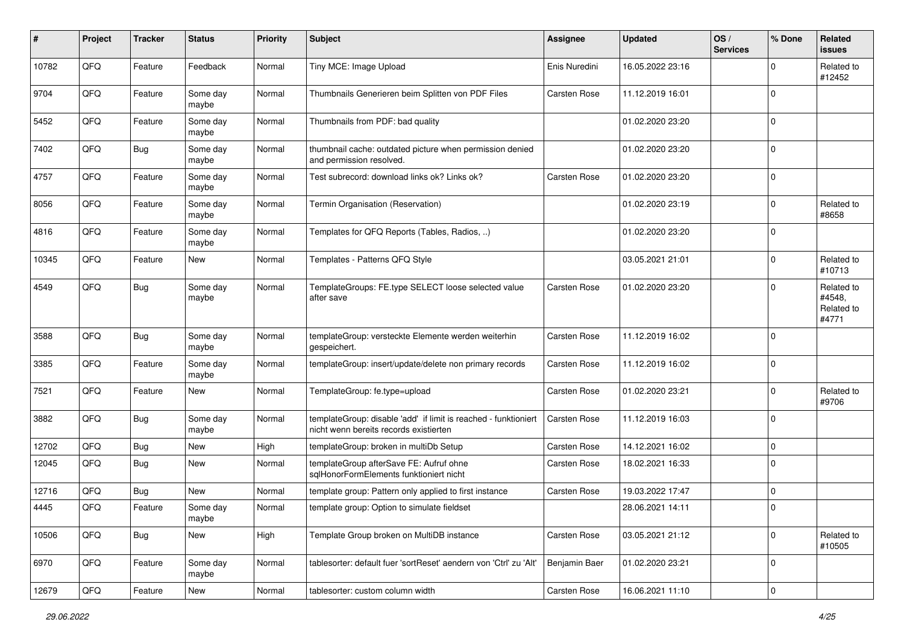| #     | Project | <b>Tracker</b> | <b>Status</b>     | <b>Priority</b> | <b>Subject</b>                                                                                            | <b>Assignee</b> | <b>Updated</b>   | OS/<br><b>Services</b> | % Done      | Related<br>issues                           |
|-------|---------|----------------|-------------------|-----------------|-----------------------------------------------------------------------------------------------------------|-----------------|------------------|------------------------|-------------|---------------------------------------------|
| 10782 | QFQ     | Feature        | Feedback          | Normal          | Tiny MCE: Image Upload                                                                                    | Enis Nuredini   | 16.05.2022 23:16 |                        | 0           | Related to<br>#12452                        |
| 9704  | QFQ     | Feature        | Some day<br>maybe | Normal          | Thumbnails Generieren beim Splitten von PDF Files                                                         | Carsten Rose    | 11.12.2019 16:01 |                        | $\mathbf 0$ |                                             |
| 5452  | QFQ     | Feature        | Some day<br>maybe | Normal          | Thumbnails from PDF: bad quality                                                                          |                 | 01.02.2020 23:20 |                        | $\mathbf 0$ |                                             |
| 7402  | QFQ     | <b>Bug</b>     | Some day<br>maybe | Normal          | thumbnail cache: outdated picture when permission denied<br>and permission resolved.                      |                 | 01.02.2020 23:20 |                        | $\mathbf 0$ |                                             |
| 4757  | QFQ     | Feature        | Some day<br>maybe | Normal          | Test subrecord: download links ok? Links ok?                                                              | Carsten Rose    | 01.02.2020 23:20 |                        | $\mathbf 0$ |                                             |
| 8056  | QFQ     | Feature        | Some day<br>maybe | Normal          | Termin Organisation (Reservation)                                                                         |                 | 01.02.2020 23:19 |                        | $\mathbf 0$ | Related to<br>#8658                         |
| 4816  | QFQ     | Feature        | Some day<br>maybe | Normal          | Templates for QFQ Reports (Tables, Radios, )                                                              |                 | 01.02.2020 23:20 |                        | $\mathbf 0$ |                                             |
| 10345 | QFQ     | Feature        | <b>New</b>        | Normal          | Templates - Patterns QFQ Style                                                                            |                 | 03.05.2021 21:01 |                        | $\mathbf 0$ | Related to<br>#10713                        |
| 4549  | QFQ     | Bug            | Some day<br>maybe | Normal          | TemplateGroups: FE.type SELECT loose selected value<br>after save                                         | Carsten Rose    | 01.02.2020 23:20 |                        | $\mathbf 0$ | Related to<br>#4548,<br>Related to<br>#4771 |
| 3588  | QFQ     | <b>Bug</b>     | Some day<br>maybe | Normal          | templateGroup: versteckte Elemente werden weiterhin<br>gespeichert.                                       | Carsten Rose    | 11.12.2019 16:02 |                        | $\mathbf 0$ |                                             |
| 3385  | QFQ     | Feature        | Some day<br>maybe | Normal          | templateGroup: insert/update/delete non primary records                                                   | Carsten Rose    | 11.12.2019 16:02 |                        | 0           |                                             |
| 7521  | QFQ     | Feature        | New               | Normal          | TemplateGroup: fe.type=upload                                                                             | Carsten Rose    | 01.02.2020 23:21 |                        | $\mathbf 0$ | Related to<br>#9706                         |
| 3882  | QFQ     | Bug            | Some day<br>maybe | Normal          | templateGroup: disable 'add' if limit is reached - funktioniert<br>nicht wenn bereits records existierten | Carsten Rose    | 11.12.2019 16:03 |                        | $\mathbf 0$ |                                             |
| 12702 | QFQ     | <b>Bug</b>     | New               | High            | templateGroup: broken in multiDb Setup                                                                    | Carsten Rose    | 14.12.2021 16:02 |                        | 0           |                                             |
| 12045 | QFQ     | Bug            | New               | Normal          | templateGroup afterSave FE: Aufruf ohne<br>sqlHonorFormElements funktioniert nicht                        | Carsten Rose    | 18.02.2021 16:33 |                        | $\mathbf 0$ |                                             |
| 12716 | QFQ     | Bug            | <b>New</b>        | Normal          | template group: Pattern only applied to first instance                                                    | Carsten Rose    | 19.03.2022 17:47 |                        | 0           |                                             |
| 4445  | QFQ     | Feature        | Some day<br>maybe | Normal          | template group: Option to simulate fieldset                                                               |                 | 28.06.2021 14:11 |                        | $\Omega$    |                                             |
| 10506 | QFQ     | <b>Bug</b>     | New               | High            | Template Group broken on MultiDB instance                                                                 | Carsten Rose    | 03.05.2021 21:12 |                        | 0           | Related to<br>#10505                        |
| 6970  | QFQ     | Feature        | Some day<br>maybe | Normal          | tablesorter: default fuer 'sortReset' aendern von 'Ctrl' zu 'Alt'                                         | Benjamin Baer   | 01.02.2020 23:21 |                        | 0           |                                             |
| 12679 | QFQ     | Feature        | New               | Normal          | tablesorter: custom column width                                                                          | Carsten Rose    | 16.06.2021 11:10 |                        | 0           |                                             |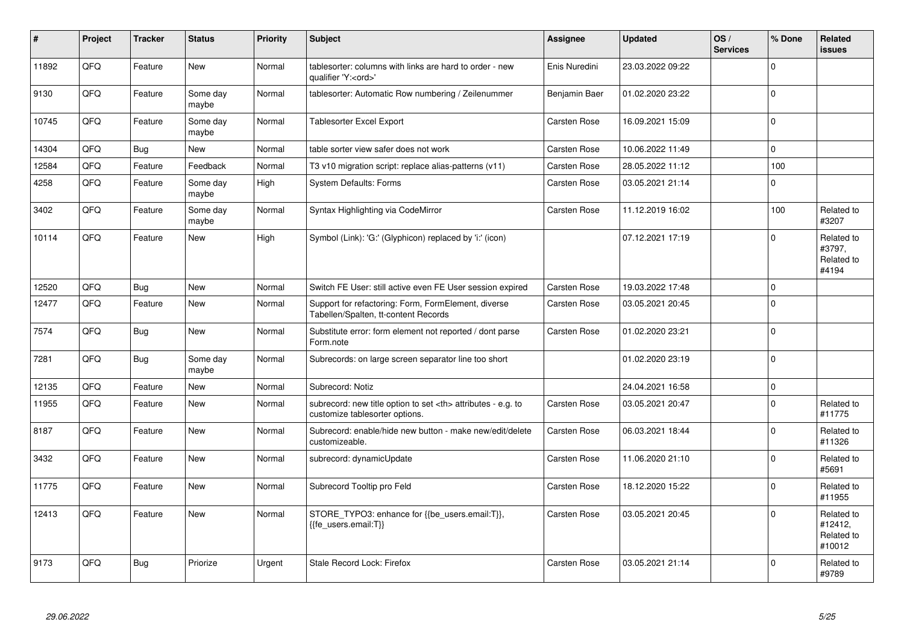| $\vert$ # | Project | <b>Tracker</b> | <b>Status</b>     | <b>Priority</b> | <b>Subject</b>                                                                                       | Assignee                                               | <b>Updated</b>   | OS/<br><b>Services</b> | % Done              | Related<br><b>issues</b>                      |                      |
|-----------|---------|----------------|-------------------|-----------------|------------------------------------------------------------------------------------------------------|--------------------------------------------------------|------------------|------------------------|---------------------|-----------------------------------------------|----------------------|
| 11892     | QFQ     | Feature        | <b>New</b>        | Normal          | tablesorter: columns with links are hard to order - new<br>qualifier 'Y: <ord>'</ord>                | Enis Nuredini                                          | 23.03.2022 09:22 |                        | $\Omega$            |                                               |                      |
| 9130      | QFQ     | Feature        | Some day<br>maybe | Normal          | tablesorter: Automatic Row numbering / Zeilenummer                                                   | Benjamin Baer                                          | 01.02.2020 23:22 |                        | $\Omega$            |                                               |                      |
| 10745     | QFQ     | Feature        | Some day<br>maybe | Normal          | Tablesorter Excel Export                                                                             | Carsten Rose                                           | 16.09.2021 15:09 |                        | $\Omega$            |                                               |                      |
| 14304     | QFQ     | Bug            | New               | Normal          | table sorter view safer does not work                                                                | Carsten Rose                                           | 10.06.2022 11:49 |                        | $\Omega$            |                                               |                      |
| 12584     | QFQ     | Feature        | Feedback          | Normal          | T3 v10 migration script: replace alias-patterns (v11)                                                | Carsten Rose                                           | 28.05.2022 11:12 |                        | 100                 |                                               |                      |
| 4258      | QFQ     | Feature        | Some day<br>maybe | High            | <b>System Defaults: Forms</b>                                                                        | Carsten Rose                                           | 03.05.2021 21:14 |                        | $\Omega$            |                                               |                      |
| 3402      | QFQ     | Feature        | Some day<br>maybe | Normal          | Syntax Highlighting via CodeMirror                                                                   | Carsten Rose                                           | 11.12.2019 16:02 |                        | 100                 | Related to<br>#3207                           |                      |
| 10114     | QFQ     | Feature        | New               | High            | Symbol (Link): 'G:' (Glyphicon) replaced by 'i:' (icon)                                              |                                                        | 07.12.2021 17:19 |                        | $\Omega$            | Related to<br>#3797,<br>Related to<br>#4194   |                      |
| 12520     | QFQ     | <b>Bug</b>     | <b>New</b>        | Normal          | Switch FE User: still active even FE User session expired                                            | Carsten Rose                                           | 19.03.2022 17:48 |                        | 0 I                 |                                               |                      |
| 12477     | QFQ     | Feature        | New               | Normal          | Support for refactoring: Form, FormElement, diverse<br>Tabellen/Spalten, tt-content Records          | Carsten Rose                                           | 03.05.2021 20:45 |                        | $\Omega$            |                                               |                      |
| 7574      | QFQ     | <b>Bug</b>     | New               | Normal          | Substitute error: form element not reported / dont parse<br>Form.note                                | <b>Carsten Rose</b>                                    | 01.02.2020 23:21 |                        | $\Omega$            |                                               |                      |
| 7281      | QFQ     | Bug            | Some day<br>maybe | Normal          | Subrecords: on large screen separator line too short                                                 |                                                        | 01.02.2020 23:19 |                        | $\Omega$            |                                               |                      |
| 12135     | QFQ     | Feature        | New               | Normal          | Subrecord: Notiz                                                                                     |                                                        | 24.04.2021 16:58 |                        | $\mathsf{O}\xspace$ |                                               |                      |
| 11955     | QFQ     | Feature        | New               | Normal          | subrecord: new title option to set <th> attributes - e.g. to<br/>customize tablesorter options.</th> | attributes - e.g. to<br>customize tablesorter options. | Carsten Rose     | 03.05.2021 20:47       |                     | $\Omega$                                      | Related to<br>#11775 |
| 8187      | QFQ     | Feature        | <b>New</b>        | Normal          | Subrecord: enable/hide new button - make new/edit/delete<br>customizeable.                           | <b>Carsten Rose</b>                                    | 06.03.2021 18:44 |                        | $\Omega$            | Related to<br>#11326                          |                      |
| 3432      | QFQ     | Feature        | <b>New</b>        | Normal          | subrecord: dynamicUpdate                                                                             | Carsten Rose                                           | 11.06.2020 21:10 |                        | $\Omega$            | Related to<br>#5691                           |                      |
| 11775     | QFQ     | Feature        | New               | Normal          | Subrecord Tooltip pro Feld                                                                           | Carsten Rose                                           | 18.12.2020 15:22 |                        | $\Omega$            | Related to<br>#11955                          |                      |
| 12413     | QFQ     | Feature        | <b>New</b>        | Normal          | STORE_TYPO3: enhance for {{be_users.email:T}},<br>{{fe users.email:T}}                               | <b>Carsten Rose</b>                                    | 03.05.2021 20:45 |                        | $\Omega$            | Related to<br>#12412,<br>Related to<br>#10012 |                      |
| 9173      | QFQ     | <b>Bug</b>     | Priorize          | Urgent          | Stale Record Lock: Firefox                                                                           | Carsten Rose                                           | 03.05.2021 21:14 |                        | $\Omega$            | Related to<br>#9789                           |                      |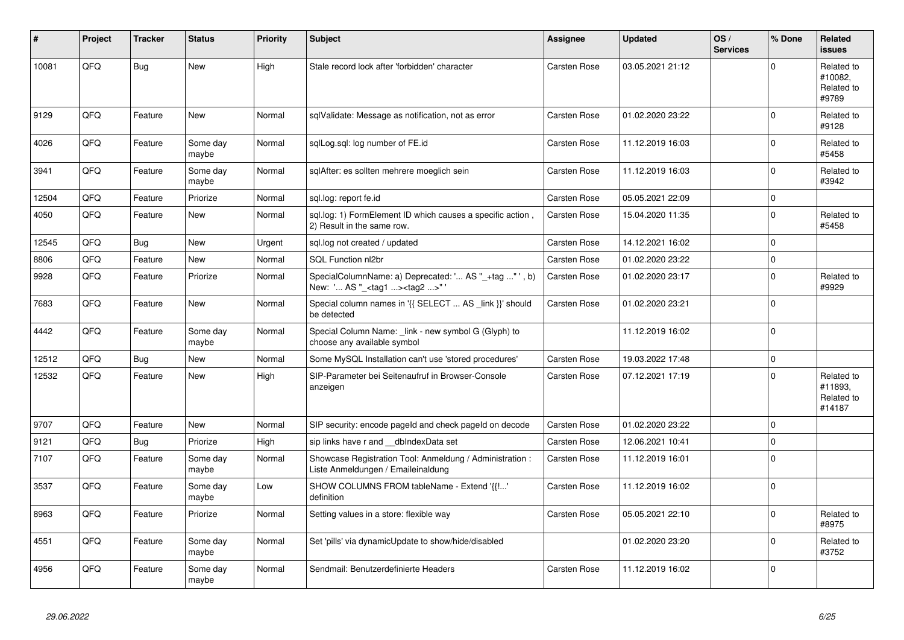| #     | Project | <b>Tracker</b> | <b>Status</b>     | <b>Priority</b> | <b>Subject</b>                                                                                    | <b>Assignee</b>     | <b>Updated</b>   | OS/<br><b>Services</b> | % Done      | <b>Related</b><br><b>issues</b>               |
|-------|---------|----------------|-------------------|-----------------|---------------------------------------------------------------------------------------------------|---------------------|------------------|------------------------|-------------|-----------------------------------------------|
| 10081 | QFQ     | Bug            | <b>New</b>        | High            | Stale record lock after 'forbidden' character                                                     | <b>Carsten Rose</b> | 03.05.2021 21:12 |                        | $\Omega$    | Related to<br>#10082.<br>Related to<br>#9789  |
| 9129  | QFQ     | Feature        | <b>New</b>        | Normal          | sqlValidate: Message as notification, not as error                                                | Carsten Rose        | 01.02.2020 23:22 |                        | $\Omega$    | Related to<br>#9128                           |
| 4026  | QFQ     | Feature        | Some day<br>maybe | Normal          | sglLog.sgl: log number of FE.id                                                                   | Carsten Rose        | 11.12.2019 16:03 |                        | $\Omega$    | Related to<br>#5458                           |
| 3941  | QFQ     | Feature        | Some day<br>maybe | Normal          | sglAfter: es sollten mehrere moeglich sein                                                        | <b>Carsten Rose</b> | 11.12.2019 16:03 |                        | $\Omega$    | Related to<br>#3942                           |
| 12504 | QFQ     | Feature        | Priorize          | Normal          | sgl.log: report fe.id                                                                             | Carsten Rose        | 05.05.2021 22:09 |                        | $\Omega$    |                                               |
| 4050  | QFQ     | Feature        | <b>New</b>        | Normal          | sql.log: 1) FormElement ID which causes a specific action,<br>2) Result in the same row.          | Carsten Rose        | 15.04.2020 11:35 |                        | $\Omega$    | Related to<br>#5458                           |
| 12545 | QFQ     | <b>Bug</b>     | <b>New</b>        | Urgent          | sql.log not created / updated                                                                     | Carsten Rose        | 14.12.2021 16:02 |                        | $\Omega$    |                                               |
| 8806  | QFQ     | Feature        | <b>New</b>        | Normal          | SQL Function nl2br                                                                                | <b>Carsten Rose</b> | 01.02.2020 23:22 |                        | $\mathbf 0$ |                                               |
| 9928  | QFQ     | Feature        | Priorize          | Normal          | SpecialColumnName: a) Deprecated: ' AS "_+tag " ', b)<br>New: ' AS "_ <tag1><tag2>"</tag2></tag1> | Carsten Rose        | 01.02.2020 23:17 |                        | $\Omega$    | Related to<br>#9929                           |
| 7683  | QFQ     | Feature        | New               | Normal          | Special column names in '{{ SELECT  AS _link }}' should<br>be detected                            | Carsten Rose        | 01.02.2020 23:21 |                        | $\Omega$    |                                               |
| 4442  | QFQ     | Feature        | Some day<br>maybe | Normal          | Special Column Name: _link - new symbol G (Glyph) to<br>choose any available symbol               |                     | 11.12.2019 16:02 |                        | $\Omega$    |                                               |
| 12512 | QFQ     | Bug            | New               | Normal          | Some MySQL Installation can't use 'stored procedures'                                             | Carsten Rose        | 19.03.2022 17:48 |                        | $\Omega$    |                                               |
| 12532 | QFQ     | Feature        | <b>New</b>        | High            | SIP-Parameter bei Seitenaufruf in Browser-Console<br>anzeigen                                     | <b>Carsten Rose</b> | 07.12.2021 17:19 |                        | $\Omega$    | Related to<br>#11893,<br>Related to<br>#14187 |
| 9707  | QFQ     | Feature        | New               | Normal          | SIP security: encode pageld and check pageld on decode                                            | Carsten Rose        | 01.02.2020 23:22 |                        | $\Omega$    |                                               |
| 9121  | QFQ     | <b>Bug</b>     | Priorize          | High            | sip links have r and __dbIndexData set                                                            | Carsten Rose        | 12.06.2021 10:41 |                        | $\Omega$    |                                               |
| 7107  | QFQ     | Feature        | Some day<br>maybe | Normal          | Showcase Registration Tool: Anmeldung / Administration :<br>Liste Anmeldungen / Emaileinaldung    | <b>Carsten Rose</b> | 11.12.2019 16:01 |                        | $\mathbf 0$ |                                               |
| 3537  | QFQ     | Feature        | Some day<br>maybe | Low             | SHOW COLUMNS FROM tableName - Extend '{{!'<br>definition                                          | Carsten Rose        | 11.12.2019 16:02 |                        | $\Omega$    |                                               |
| 8963  | QFQ     | Feature        | Priorize          | Normal          | Setting values in a store: flexible way                                                           | <b>Carsten Rose</b> | 05.05.2021 22:10 |                        | $\Omega$    | Related to<br>#8975                           |
| 4551  | QFQ     | Feature        | Some day<br>maybe | Normal          | Set 'pills' via dynamicUpdate to show/hide/disabled                                               |                     | 01.02.2020 23:20 |                        | $\Omega$    | Related to<br>#3752                           |
| 4956  | QFQ     | Feature        | Some day<br>maybe | Normal          | Sendmail: Benutzerdefinierte Headers                                                              | Carsten Rose        | 11.12.2019 16:02 |                        | $\Omega$    |                                               |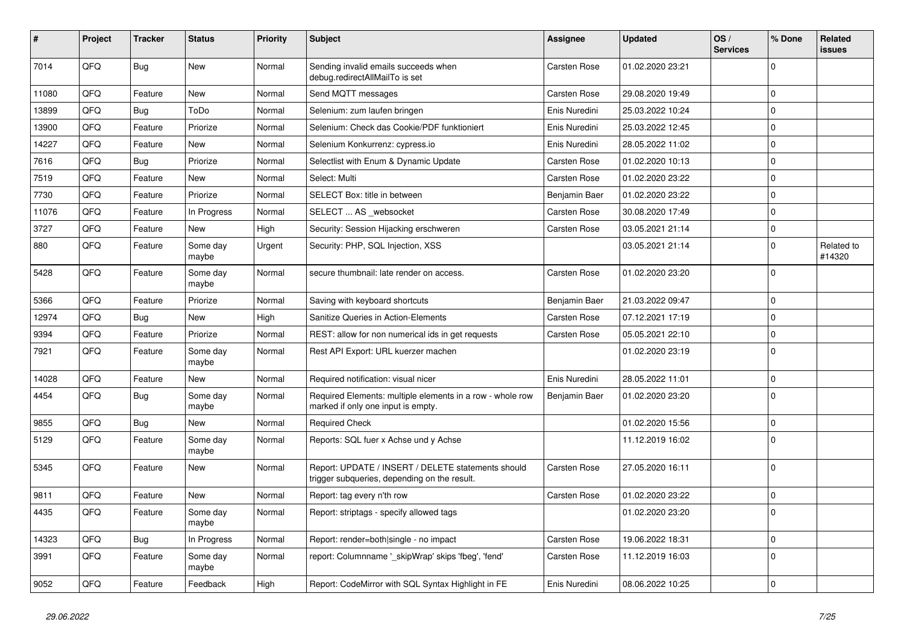| #     | Project | <b>Tracker</b> | <b>Status</b>     | <b>Priority</b> | <b>Subject</b>                                                                                     | Assignee            | <b>Updated</b>   | OS/<br><b>Services</b> | % Done       | Related<br>issues    |
|-------|---------|----------------|-------------------|-----------------|----------------------------------------------------------------------------------------------------|---------------------|------------------|------------------------|--------------|----------------------|
| 7014  | QFQ     | Bug            | <b>New</b>        | Normal          | Sending invalid emails succeeds when<br>debug.redirectAllMailTo is set                             | <b>Carsten Rose</b> | 01.02.2020 23:21 |                        | $\Omega$     |                      |
| 11080 | QFQ     | Feature        | <b>New</b>        | Normal          | Send MQTT messages                                                                                 | Carsten Rose        | 29.08.2020 19:49 |                        | $\mathbf 0$  |                      |
| 13899 | QFQ     | <b>Bug</b>     | ToDo              | Normal          | Selenium: zum laufen bringen                                                                       | Enis Nuredini       | 25.03.2022 10:24 |                        | $\mathbf 0$  |                      |
| 13900 | QFQ     | Feature        | Priorize          | Normal          | Selenium: Check das Cookie/PDF funktioniert                                                        | Enis Nuredini       | 25.03.2022 12:45 |                        | $\mathbf{0}$ |                      |
| 14227 | QFQ     | Feature        | <b>New</b>        | Normal          | Selenium Konkurrenz: cypress.io                                                                    | Enis Nuredini       | 28.05.2022 11:02 |                        | $\mathbf{0}$ |                      |
| 7616  | QFQ     | Bug            | Priorize          | Normal          | Selectlist with Enum & Dynamic Update                                                              | Carsten Rose        | 01.02.2020 10:13 |                        | $\mathbf 0$  |                      |
| 7519  | QFQ     | Feature        | New               | Normal          | Select: Multi                                                                                      | <b>Carsten Rose</b> | 01.02.2020 23:22 |                        | $\mathbf 0$  |                      |
| 7730  | QFQ     | Feature        | Priorize          | Normal          | SELECT Box: title in between                                                                       | Benjamin Baer       | 01.02.2020 23:22 |                        | $\mathbf 0$  |                      |
| 11076 | QFQ     | Feature        | In Progress       | Normal          | SELECT  AS websocket                                                                               | Carsten Rose        | 30.08.2020 17:49 |                        | $\mathbf 0$  |                      |
| 3727  | QFQ     | Feature        | New               | High            | Security: Session Hijacking erschweren                                                             | <b>Carsten Rose</b> | 03.05.2021 21:14 |                        | $\mathbf 0$  |                      |
| 880   | QFQ     | Feature        | Some day<br>maybe | Urgent          | Security: PHP, SQL Injection, XSS                                                                  |                     | 03.05.2021 21:14 |                        | $\mathbf 0$  | Related to<br>#14320 |
| 5428  | QFQ     | Feature        | Some day<br>maybe | Normal          | secure thumbnail: late render on access.                                                           | <b>Carsten Rose</b> | 01.02.2020 23:20 |                        | $\Omega$     |                      |
| 5366  | QFQ     | Feature        | Priorize          | Normal          | Saving with keyboard shortcuts                                                                     | Benjamin Baer       | 21.03.2022 09:47 |                        | $\mathbf 0$  |                      |
| 12974 | QFQ     | <b>Bug</b>     | New               | High            | Sanitize Queries in Action-Elements                                                                | Carsten Rose        | 07.12.2021 17:19 |                        | $\mathbf 0$  |                      |
| 9394  | QFQ     | Feature        | Priorize          | Normal          | REST: allow for non numerical ids in get requests                                                  | <b>Carsten Rose</b> | 05.05.2021 22:10 |                        | $\Omega$     |                      |
| 7921  | QFQ     | Feature        | Some day<br>maybe | Normal          | Rest API Export: URL kuerzer machen                                                                |                     | 01.02.2020 23:19 |                        | $\Omega$     |                      |
| 14028 | QFQ     | Feature        | <b>New</b>        | Normal          | Required notification: visual nicer                                                                | Enis Nuredini       | 28.05.2022 11:01 |                        | $\mathbf 0$  |                      |
| 4454  | QFQ     | Bug            | Some day<br>maybe | Normal          | Required Elements: multiple elements in a row - whole row<br>marked if only one input is empty.    | Benjamin Baer       | 01.02.2020 23:20 |                        | $\Omega$     |                      |
| 9855  | QFQ     | <b>Bug</b>     | <b>New</b>        | Normal          | <b>Required Check</b>                                                                              |                     | 01.02.2020 15:56 |                        | 0            |                      |
| 5129  | QFQ     | Feature        | Some day<br>maybe | Normal          | Reports: SQL fuer x Achse und y Achse                                                              |                     | 11.12.2019 16:02 |                        | $\mathbf 0$  |                      |
| 5345  | QFQ     | Feature        | New               | Normal          | Report: UPDATE / INSERT / DELETE statements should<br>trigger subqueries, depending on the result. | Carsten Rose        | 27.05.2020 16:11 |                        | $\Omega$     |                      |
| 9811  | QFQ     | Feature        | New               | Normal          | Report: tag every n'th row                                                                         | <b>Carsten Rose</b> | 01.02.2020 23:22 |                        | $\mathbf 0$  |                      |
| 4435  | QFQ     | Feature        | Some day<br>maybe | Normal          | Report: striptags - specify allowed tags                                                           |                     | 01.02.2020 23:20 |                        | $\Omega$     |                      |
| 14323 | QFQ     | Bug            | In Progress       | Normal          | Report: render=both single - no impact                                                             | Carsten Rose        | 19.06.2022 18:31 |                        | $\mathbf 0$  |                      |
| 3991  | QFQ     | Feature        | Some day<br>maybe | Normal          | report: Columnname '_skipWrap' skips 'fbeg', 'fend'                                                | Carsten Rose        | 11.12.2019 16:03 |                        | $\Omega$     |                      |
| 9052  | QFQ     | Feature        | Feedback          | High            | Report: CodeMirror with SQL Syntax Highlight in FE                                                 | Enis Nuredini       | 08.06.2022 10:25 |                        | l 0          |                      |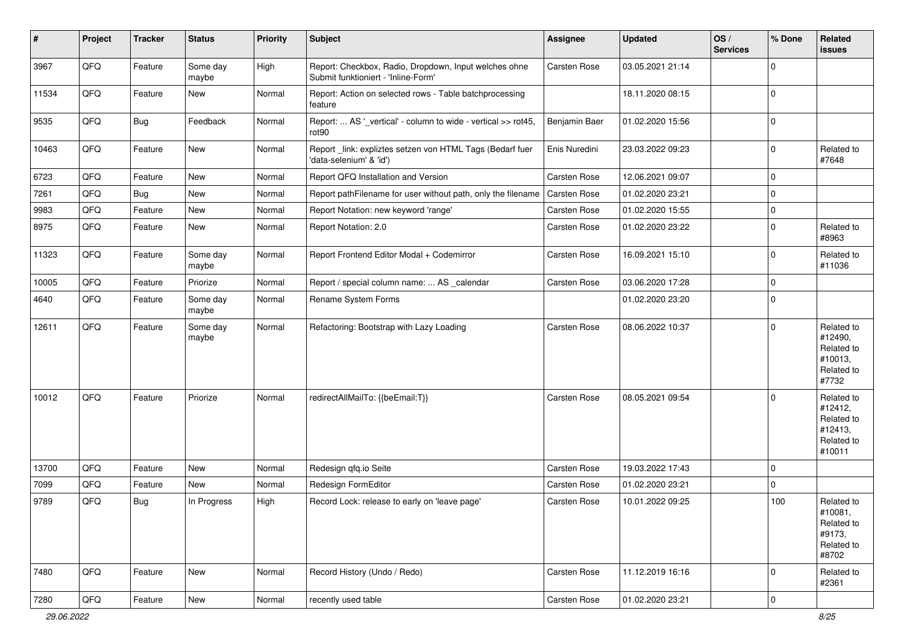| $\vert$ # | Project        | <b>Tracker</b> | <b>Status</b>     | <b>Priority</b> | Subject                                                                                      | <b>Assignee</b> | <b>Updated</b>   | OS/<br><b>Services</b> | % Done         | Related<br>issues                                                      |
|-----------|----------------|----------------|-------------------|-----------------|----------------------------------------------------------------------------------------------|-----------------|------------------|------------------------|----------------|------------------------------------------------------------------------|
| 3967      | QFQ            | Feature        | Some day<br>maybe | High            | Report: Checkbox, Radio, Dropdown, Input welches ohne<br>Submit funktioniert - 'Inline-Form' | Carsten Rose    | 03.05.2021 21:14 |                        | $\mathbf 0$    |                                                                        |
| 11534     | QFQ            | Feature        | New               | Normal          | Report: Action on selected rows - Table batchprocessing<br>feature                           |                 | 18.11.2020 08:15 |                        | $\mathbf 0$    |                                                                        |
| 9535      | QFQ            | <b>Bug</b>     | Feedback          | Normal          | Report:  AS '_vertical' - column to wide - vertical >> rot45,<br>rot90                       | Benjamin Baer   | 01.02.2020 15:56 |                        | $\mathbf 0$    |                                                                        |
| 10463     | QFQ            | Feature        | New               | Normal          | Report_link: expliztes setzen von HTML Tags (Bedarf fuer<br>'data-selenium' & 'id')          | Enis Nuredini   | 23.03.2022 09:23 |                        | $\mathbf 0$    | Related to<br>#7648                                                    |
| 6723      | QFQ            | Feature        | <b>New</b>        | Normal          | Report QFQ Installation and Version                                                          | Carsten Rose    | 12.06.2021 09:07 |                        | $\mathbf 0$    |                                                                        |
| 7261      | QFQ            | Bug            | New               | Normal          | Report pathFilename for user without path, only the filename                                 | Carsten Rose    | 01.02.2020 23:21 |                        | $\mathbf 0$    |                                                                        |
| 9983      | QFQ            | Feature        | New               | Normal          | Report Notation: new keyword 'range'                                                         | Carsten Rose    | 01.02.2020 15:55 |                        | $\mathbf 0$    |                                                                        |
| 8975      | QFQ            | Feature        | New               | Normal          | Report Notation: 2.0                                                                         | Carsten Rose    | 01.02.2020 23:22 |                        | $\mathbf 0$    | Related to<br>#8963                                                    |
| 11323     | QFQ            | Feature        | Some day<br>maybe | Normal          | Report Frontend Editor Modal + Codemirror                                                    | Carsten Rose    | 16.09.2021 15:10 |                        | $\mathbf 0$    | Related to<br>#11036                                                   |
| 10005     | QFQ            | Feature        | Priorize          | Normal          | Report / special column name:  AS _calendar                                                  | Carsten Rose    | 03.06.2020 17:28 |                        | $\mathbf 0$    |                                                                        |
| 4640      | QFQ            | Feature        | Some day<br>maybe | Normal          | Rename System Forms                                                                          |                 | 01.02.2020 23:20 |                        | $\mathbf 0$    |                                                                        |
| 12611     | QFQ            | Feature        | Some day<br>maybe | Normal          | Refactoring: Bootstrap with Lazy Loading                                                     | Carsten Rose    | 08.06.2022 10:37 |                        | $\mathbf 0$    | Related to<br>#12490,<br>Related to<br>#10013,<br>Related to<br>#7732  |
| 10012     | QFQ            | Feature        | Priorize          | Normal          | redirectAllMailTo: {{beEmail:T}}                                                             | Carsten Rose    | 08.05.2021 09:54 |                        | $\mathbf 0$    | Related to<br>#12412,<br>Related to<br>#12413,<br>Related to<br>#10011 |
| 13700     | QFQ            | Feature        | New               | Normal          | Redesign qfq.io Seite                                                                        | Carsten Rose    | 19.03.2022 17:43 |                        | $\mathbf 0$    |                                                                        |
| 7099      | QFQ            | Feature        | <b>New</b>        | Normal          | Redesign FormEditor                                                                          | Carsten Rose    | 01.02.2020 23:21 |                        | $\mathbf 0$    |                                                                        |
| 9789      | QFQ            | Bug            | In Progress       | High            | Record Lock: release to early on 'leave page'                                                | Carsten Rose    | 10.01.2022 09:25 |                        | 100            | Related to<br>#10081,<br>Related to<br>#9173,<br>Related to<br>#8702   |
| 7480      | QFQ            | Feature        | New               | Normal          | Record History (Undo / Redo)                                                                 | Carsten Rose    | 11.12.2019 16:16 |                        | $\mathbf 0$    | Related to<br>#2361                                                    |
| 7280      | $\mathsf{QFQ}$ | Feature        | New               | Normal          | recently used table                                                                          | Carsten Rose    | 01.02.2020 23:21 |                        | $\overline{0}$ |                                                                        |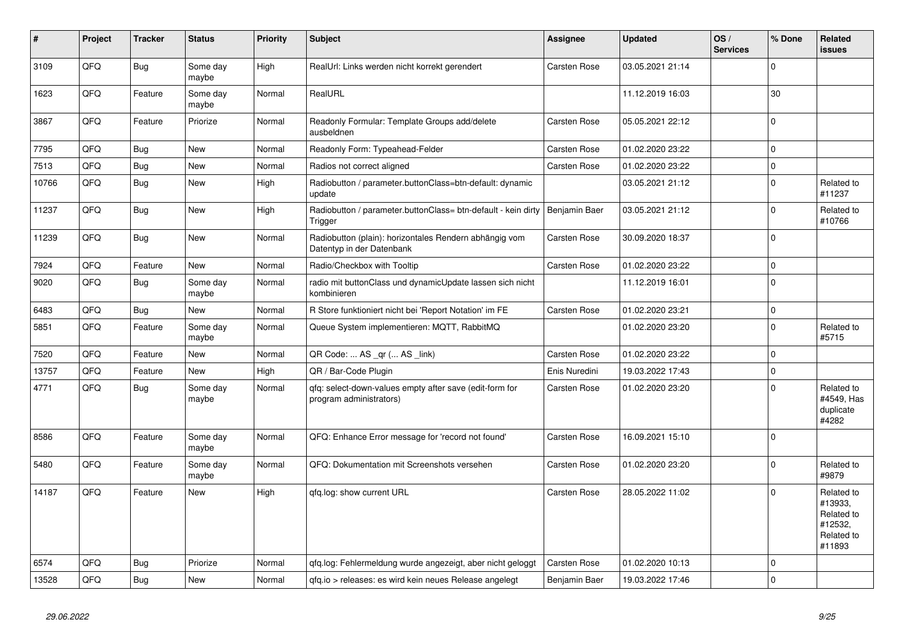| #     | Project | <b>Tracker</b> | <b>Status</b>     | <b>Priority</b> | <b>Subject</b>                                                                      | Assignee            | <b>Updated</b>   | OS/<br><b>Services</b> | % Done         | Related<br>issues                                                      |
|-------|---------|----------------|-------------------|-----------------|-------------------------------------------------------------------------------------|---------------------|------------------|------------------------|----------------|------------------------------------------------------------------------|
| 3109  | QFQ     | Bug            | Some day<br>maybe | High            | RealUrl: Links werden nicht korrekt gerendert                                       | <b>Carsten Rose</b> | 03.05.2021 21:14 |                        | $\Omega$       |                                                                        |
| 1623  | QFQ     | Feature        | Some day<br>maybe | Normal          | RealURL                                                                             |                     | 11.12.2019 16:03 |                        | 30             |                                                                        |
| 3867  | QFQ     | Feature        | Priorize          | Normal          | Readonly Formular: Template Groups add/delete<br>ausbeldnen                         | <b>Carsten Rose</b> | 05.05.2021 22:12 |                        | $\Omega$       |                                                                        |
| 7795  | QFQ     | Bug            | <b>New</b>        | Normal          | Readonly Form: Typeahead-Felder                                                     | Carsten Rose        | 01.02.2020 23:22 |                        | $\mathbf 0$    |                                                                        |
| 7513  | QFQ     | <b>Bug</b>     | <b>New</b>        | Normal          | Radios not correct aligned                                                          | Carsten Rose        | 01.02.2020 23:22 |                        | $\mathbf{0}$   |                                                                        |
| 10766 | QFQ     | Bug            | <b>New</b>        | High            | Radiobutton / parameter.buttonClass=btn-default: dynamic<br>update                  |                     | 03.05.2021 21:12 |                        | $\Omega$       | Related to<br>#11237                                                   |
| 11237 | QFQ     | <b>Bug</b>     | New               | High            | Radiobutton / parameter.buttonClass= btn-default - kein dirty<br>Trigger            | Benjamin Baer       | 03.05.2021 21:12 |                        | $\Omega$       | Related to<br>#10766                                                   |
| 11239 | QFQ     | <b>Bug</b>     | <b>New</b>        | Normal          | Radiobutton (plain): horizontales Rendern abhängig vom<br>Datentyp in der Datenbank | Carsten Rose        | 30.09.2020 18:37 |                        | $\Omega$       |                                                                        |
| 7924  | QFQ     | Feature        | <b>New</b>        | Normal          | Radio/Checkbox with Tooltip                                                         | Carsten Rose        | 01.02.2020 23:22 |                        | $\mathbf 0$    |                                                                        |
| 9020  | QFQ     | Bug            | Some day<br>maybe | Normal          | radio mit buttonClass und dynamicUpdate lassen sich nicht<br>kombinieren            |                     | 11.12.2019 16:01 |                        | $\Omega$       |                                                                        |
| 6483  | QFQ     | <b>Bug</b>     | <b>New</b>        | Normal          | R Store funktioniert nicht bei 'Report Notation' im FE                              | Carsten Rose        | 01.02.2020 23:21 |                        | $\mathbf 0$    |                                                                        |
| 5851  | QFQ     | Feature        | Some day<br>maybe | Normal          | Queue System implementieren: MQTT, RabbitMQ                                         |                     | 01.02.2020 23:20 |                        | $\Omega$       | Related to<br>#5715                                                    |
| 7520  | QFQ     | Feature        | <b>New</b>        | Normal          | QR Code:  AS _qr ( AS _link)                                                        | Carsten Rose        | 01.02.2020 23:22 |                        | $\mathbf 0$    |                                                                        |
| 13757 | QFQ     | Feature        | <b>New</b>        | High            | QR / Bar-Code Plugin                                                                | Enis Nuredini       | 19.03.2022 17:43 |                        | $\overline{0}$ |                                                                        |
| 4771  | QFQ     | Bug            | Some day<br>maybe | Normal          | qfq: select-down-values empty after save (edit-form for<br>program administrators)  | Carsten Rose        | 01.02.2020 23:20 |                        | $\Omega$       | Related to<br>#4549. Has<br>duplicate<br>#4282                         |
| 8586  | QFQ     | Feature        | Some day<br>maybe | Normal          | QFQ: Enhance Error message for 'record not found'                                   | <b>Carsten Rose</b> | 16.09.2021 15:10 |                        | $\Omega$       |                                                                        |
| 5480  | QFQ     | Feature        | Some day<br>maybe | Normal          | QFQ: Dokumentation mit Screenshots versehen                                         | Carsten Rose        | 01.02.2020 23:20 |                        | $\Omega$       | Related to<br>#9879                                                    |
| 14187 | QFQ     | Feature        | <b>New</b>        | High            | gfg.log: show current URL                                                           | Carsten Rose        | 28.05.2022 11:02 |                        | $\Omega$       | Related to<br>#13933,<br>Related to<br>#12532,<br>Related to<br>#11893 |
| 6574  | QFQ     | Bug            | Priorize          | Normal          | qfq.log: Fehlermeldung wurde angezeigt, aber nicht geloggt                          | Carsten Rose        | 01.02.2020 10:13 |                        | $\Omega$       |                                                                        |
| 13528 | QFQ     | <b>Bug</b>     | <b>New</b>        | Normal          | qfq.io > releases: es wird kein neues Release angelegt                              | Benjamin Baer       | 19.03.2022 17:46 |                        | $\overline{0}$ |                                                                        |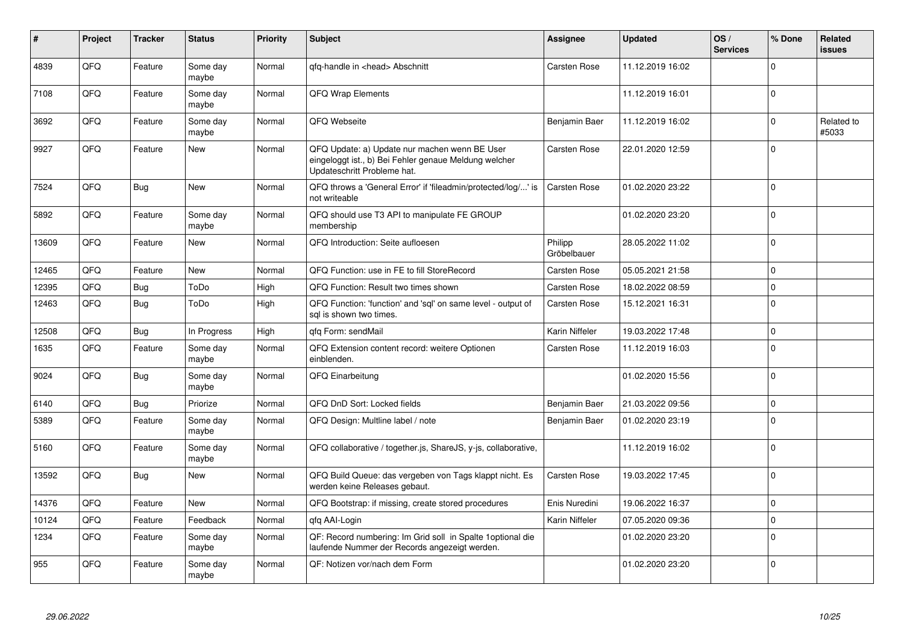| #     | Project | <b>Tracker</b> | <b>Status</b>     | <b>Priority</b> | <b>Subject</b>                                                                                                                        | Assignee               | <b>Updated</b>   | OS/<br><b>Services</b> | % Done   | Related<br>issues   |
|-------|---------|----------------|-------------------|-----------------|---------------------------------------------------------------------------------------------------------------------------------------|------------------------|------------------|------------------------|----------|---------------------|
| 4839  | QFQ     | Feature        | Some day<br>maybe | Normal          | qfq-handle in <head> Abschnitt</head>                                                                                                 | Carsten Rose           | 11.12.2019 16:02 |                        | $\Omega$ |                     |
| 7108  | QFQ     | Feature        | Some day<br>maybe | Normal          | <b>QFQ Wrap Elements</b>                                                                                                              |                        | 11.12.2019 16:01 |                        | $\Omega$ |                     |
| 3692  | QFQ     | Feature        | Some day<br>maybe | Normal          | QFQ Webseite                                                                                                                          | Benjamin Baer          | 11.12.2019 16:02 |                        | $\Omega$ | Related to<br>#5033 |
| 9927  | QFQ     | Feature        | <b>New</b>        | Normal          | QFQ Update: a) Update nur machen wenn BE User<br>eingeloggt ist., b) Bei Fehler genaue Meldung welcher<br>Updateschritt Probleme hat. | Carsten Rose           | 22.01.2020 12:59 |                        | $\Omega$ |                     |
| 7524  | QFQ     | <b>Bug</b>     | <b>New</b>        | Normal          | QFQ throws a 'General Error' if 'fileadmin/protected/log/' is<br>not writeable                                                        | Carsten Rose           | 01.02.2020 23:22 |                        | $\Omega$ |                     |
| 5892  | QFQ     | Feature        | Some day<br>maybe | Normal          | QFQ should use T3 API to manipulate FE GROUP<br>membership                                                                            |                        | 01.02.2020 23:20 |                        | $\Omega$ |                     |
| 13609 | QFQ     | Feature        | <b>New</b>        | Normal          | QFQ Introduction: Seite aufloesen                                                                                                     | Philipp<br>Gröbelbauer | 28.05.2022 11:02 |                        | $\Omega$ |                     |
| 12465 | QFQ     | Feature        | New               | Normal          | QFQ Function: use in FE to fill StoreRecord                                                                                           | Carsten Rose           | 05.05.2021 21:58 |                        | $\Omega$ |                     |
| 12395 | QFQ     | Bug            | ToDo              | High            | QFQ Function: Result two times shown                                                                                                  | Carsten Rose           | 18.02.2022 08:59 |                        | $\Omega$ |                     |
| 12463 | QFQ     | Bug            | ToDo              | High            | QFQ Function: 'function' and 'sql' on same level - output of<br>sal is shown two times.                                               | Carsten Rose           | 15.12.2021 16:31 |                        | $\Omega$ |                     |
| 12508 | QFQ     | <b>Bug</b>     | In Progress       | High            | qfq Form: sendMail                                                                                                                    | Karin Niffeler         | 19.03.2022 17:48 |                        | $\Omega$ |                     |
| 1635  | QFQ     | Feature        | Some day<br>maybe | Normal          | QFQ Extension content record: weitere Optionen<br>einblenden.                                                                         | Carsten Rose           | 11.12.2019 16:03 |                        | $\Omega$ |                     |
| 9024  | QFQ     | Bug            | Some day<br>maybe | Normal          | QFQ Einarbeitung                                                                                                                      |                        | 01.02.2020 15:56 |                        | $\Omega$ |                     |
| 6140  | QFQ     | Bug            | Priorize          | Normal          | QFQ DnD Sort: Locked fields                                                                                                           | Benjamin Baer          | 21.03.2022 09:56 |                        | $\Omega$ |                     |
| 5389  | QFQ     | Feature        | Some day<br>maybe | Normal          | QFQ Design: Multline label / note                                                                                                     | Benjamin Baer          | 01.02.2020 23:19 |                        | $\Omega$ |                     |
| 5160  | QFQ     | Feature        | Some day<br>maybe | Normal          | QFQ collaborative / together.js, ShareJS, y-js, collaborative,                                                                        |                        | 11.12.2019 16:02 |                        | $\Omega$ |                     |
| 13592 | QFQ     | Bug            | <b>New</b>        | Normal          | QFQ Build Queue: das vergeben von Tags klappt nicht. Es<br>werden keine Releases gebaut.                                              | Carsten Rose           | 19.03.2022 17:45 |                        | $\Omega$ |                     |
| 14376 | QFQ     | Feature        | <b>New</b>        | Normal          | QFQ Bootstrap: if missing, create stored procedures                                                                                   | Enis Nuredini          | 19.06.2022 16:37 |                        | $\Omega$ |                     |
| 10124 | QFQ     | Feature        | Feedback          | Normal          | gfg AAI-Login                                                                                                                         | Karin Niffeler         | 07.05.2020 09:36 |                        | $\Omega$ |                     |
| 1234  | QFQ     | Feature        | Some day<br>maybe | Normal          | QF: Record numbering: Im Grid soll in Spalte 1 optional die<br>laufende Nummer der Records angezeigt werden.                          |                        | 01.02.2020 23:20 |                        | $\Omega$ |                     |
| 955   | QFQ     | Feature        | Some day<br>maybe | Normal          | QF: Notizen vor/nach dem Form                                                                                                         |                        | 01.02.2020 23:20 |                        | $\Omega$ |                     |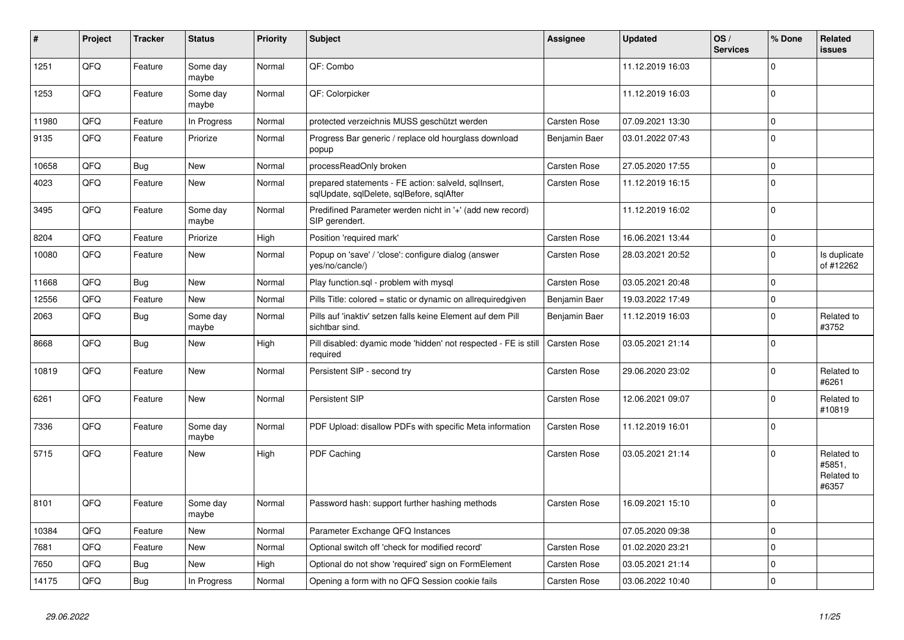| #     | Project | <b>Tracker</b> | <b>Status</b>     | <b>Priority</b> | <b>Subject</b>                                                                                    | Assignee            | <b>Updated</b>   | OS/<br><b>Services</b> | % Done       | Related<br><b>issues</b>                    |
|-------|---------|----------------|-------------------|-----------------|---------------------------------------------------------------------------------------------------|---------------------|------------------|------------------------|--------------|---------------------------------------------|
| 1251  | QFQ     | Feature        | Some day<br>maybe | Normal          | QF: Combo                                                                                         |                     | 11.12.2019 16:03 |                        | $\Omega$     |                                             |
| 1253  | QFQ     | Feature        | Some day<br>maybe | Normal          | QF: Colorpicker                                                                                   |                     | 11.12.2019 16:03 |                        | $\Omega$     |                                             |
| 11980 | QFQ     | Feature        | In Progress       | Normal          | protected verzeichnis MUSS geschützt werden                                                       | Carsten Rose        | 07.09.2021 13:30 |                        | $\Omega$     |                                             |
| 9135  | QFQ     | Feature        | Priorize          | Normal          | Progress Bar generic / replace old hourglass download<br>popup                                    | Benjamin Baer       | 03.01.2022 07:43 |                        | $\Omega$     |                                             |
| 10658 | QFQ     | <b>Bug</b>     | New               | Normal          | processReadOnly broken                                                                            | Carsten Rose        | 27.05.2020 17:55 |                        | $\mathbf 0$  |                                             |
| 4023  | QFQ     | Feature        | New               | Normal          | prepared statements - FE action: salveld, sqllnsert,<br>sqlUpdate, sqlDelete, sqlBefore, sqlAfter | Carsten Rose        | 11.12.2019 16:15 |                        | $\Omega$     |                                             |
| 3495  | QFQ     | Feature        | Some day<br>maybe | Normal          | Predifined Parameter werden nicht in '+' (add new record)<br>SIP gerendert.                       |                     | 11.12.2019 16:02 |                        | $\Omega$     |                                             |
| 8204  | QFQ     | Feature        | Priorize          | High            | Position 'required mark'                                                                          | <b>Carsten Rose</b> | 16.06.2021 13:44 |                        | $\mathbf 0$  |                                             |
| 10080 | QFQ     | Feature        | <b>New</b>        | Normal          | Popup on 'save' / 'close': configure dialog (answer<br>yes/no/cancle/)                            | Carsten Rose        | 28.03.2021 20:52 |                        | $\Omega$     | Is duplicate<br>of #12262                   |
| 11668 | QFQ     | <b>Bug</b>     | <b>New</b>        | Normal          | Play function.sql - problem with mysql                                                            | <b>Carsten Rose</b> | 03.05.2021 20:48 |                        | $\mathbf 0$  |                                             |
| 12556 | QFQ     | Feature        | <b>New</b>        | Normal          | Pills Title: colored = static or dynamic on allrequiredgiven                                      | Benjamin Baer       | 19.03.2022 17:49 |                        | $\Omega$     |                                             |
| 2063  | QFQ     | Bug            | Some day<br>maybe | Normal          | Pills auf 'inaktiv' setzen falls keine Element auf dem Pill<br>sichtbar sind.                     | Benjamin Baer       | 11.12.2019 16:03 |                        | $\mathbf{0}$ | Related to<br>#3752                         |
| 8668  | QFQ     | <b>Bug</b>     | New               | High            | Pill disabled: dyamic mode 'hidden' not respected - FE is still<br>required                       | Carsten Rose        | 03.05.2021 21:14 |                        | $\Omega$     |                                             |
| 10819 | QFQ     | Feature        | New               | Normal          | Persistent SIP - second try                                                                       | Carsten Rose        | 29.06.2020 23:02 |                        | $\Omega$     | Related to<br>#6261                         |
| 6261  | QFQ     | Feature        | <b>New</b>        | Normal          | Persistent SIP                                                                                    | Carsten Rose        | 12.06.2021 09:07 |                        | $\Omega$     | Related to<br>#10819                        |
| 7336  | QFQ     | Feature        | Some day<br>maybe | Normal          | PDF Upload: disallow PDFs with specific Meta information                                          | Carsten Rose        | 11.12.2019 16:01 |                        | $\Omega$     |                                             |
| 5715  | QFQ     | Feature        | <b>New</b>        | High            | PDF Caching                                                                                       | <b>Carsten Rose</b> | 03.05.2021 21:14 |                        | $\mathbf{0}$ | Related to<br>#5851,<br>Related to<br>#6357 |
| 8101  | QFQ     | Feature        | Some day<br>maybe | Normal          | Password hash: support further hashing methods                                                    | Carsten Rose        | 16.09.2021 15:10 |                        | 0 I          |                                             |
| 10384 | QFQ     | Feature        | New               | Normal          | Parameter Exchange QFQ Instances                                                                  |                     | 07.05.2020 09:38 |                        | $\Omega$     |                                             |
| 7681  | QFQ     | Feature        | <b>New</b>        | Normal          | Optional switch off 'check for modified record'                                                   | Carsten Rose        | 01.02.2020 23:21 |                        | $\Omega$     |                                             |
| 7650  | QFQ     | Bug            | <b>New</b>        | High            | Optional do not show 'required' sign on FormElement                                               | <b>Carsten Rose</b> | 03.05.2021 21:14 |                        | $\Omega$     |                                             |
| 14175 | QFQ     | Bug            | In Progress       | Normal          | Opening a form with no QFQ Session cookie fails                                                   | Carsten Rose        | 03.06.2022 10:40 |                        | $\mathbf 0$  |                                             |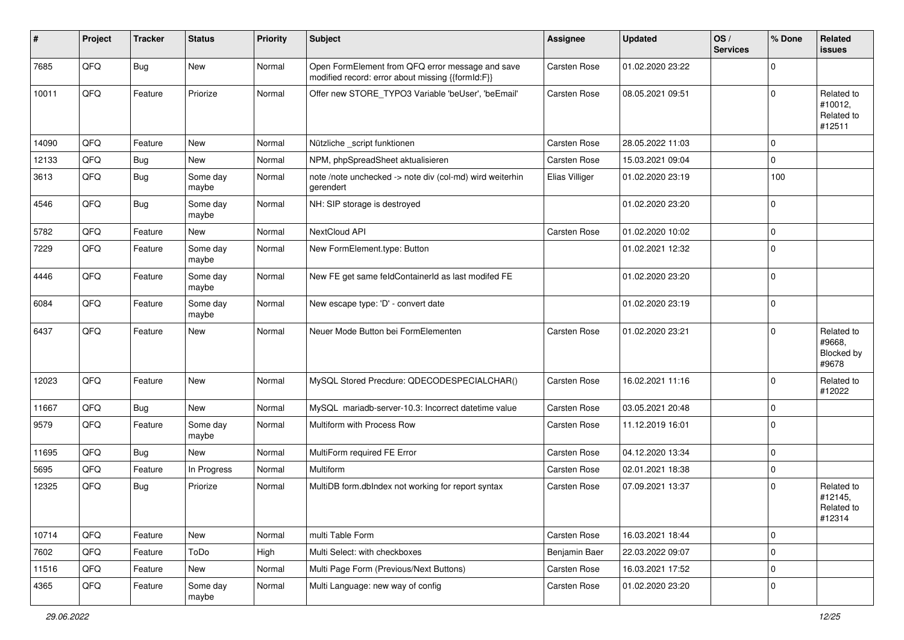| #     | Project | <b>Tracker</b> | <b>Status</b>     | <b>Priority</b> | Subject                                                                                               | Assignee       | <b>Updated</b>   | OS/<br><b>Services</b> | % Done              | Related<br>issues                             |
|-------|---------|----------------|-------------------|-----------------|-------------------------------------------------------------------------------------------------------|----------------|------------------|------------------------|---------------------|-----------------------------------------------|
| 7685  | QFQ     | <b>Bug</b>     | New               | Normal          | Open FormElement from QFQ error message and save<br>modified record: error about missing {{formId:F}} | Carsten Rose   | 01.02.2020 23:22 |                        | $\mathbf 0$         |                                               |
| 10011 | QFQ     | Feature        | Priorize          | Normal          | Offer new STORE_TYPO3 Variable 'beUser', 'beEmail'                                                    | Carsten Rose   | 08.05.2021 09:51 |                        | $\mathbf 0$         | Related to<br>#10012,<br>Related to<br>#12511 |
| 14090 | QFQ     | Feature        | <b>New</b>        | Normal          | Nützliche _script funktionen                                                                          | Carsten Rose   | 28.05.2022 11:03 |                        | $\mathbf 0$         |                                               |
| 12133 | QFQ     | Bug            | New               | Normal          | NPM, phpSpreadSheet aktualisieren                                                                     | Carsten Rose   | 15.03.2021 09:04 |                        | $\mathbf 0$         |                                               |
| 3613  | QFQ     | Bug            | Some day<br>maybe | Normal          | note /note unchecked -> note div (col-md) wird weiterhin<br>gerendert                                 | Elias Villiger | 01.02.2020 23:19 |                        | 100                 |                                               |
| 4546  | QFQ     | <b>Bug</b>     | Some day<br>maybe | Normal          | NH: SIP storage is destroyed                                                                          |                | 01.02.2020 23:20 |                        | $\mathbf 0$         |                                               |
| 5782  | QFQ     | Feature        | New               | Normal          | NextCloud API                                                                                         | Carsten Rose   | 01.02.2020 10:02 |                        | $\mathbf{0}$        |                                               |
| 7229  | QFQ     | Feature        | Some day<br>maybe | Normal          | New FormElement.type: Button                                                                          |                | 01.02.2021 12:32 |                        | $\mathbf 0$         |                                               |
| 4446  | QFQ     | Feature        | Some day<br>maybe | Normal          | New FE get same feldContainerId as last modifed FE                                                    |                | 01.02.2020 23:20 |                        | $\mathbf 0$         |                                               |
| 6084  | QFQ     | Feature        | Some day<br>maybe | Normal          | New escape type: 'D' - convert date                                                                   |                | 01.02.2020 23:19 |                        | $\mathbf 0$         |                                               |
| 6437  | QFQ     | Feature        | <b>New</b>        | Normal          | Neuer Mode Button bei FormElementen                                                                   | Carsten Rose   | 01.02.2020 23:21 |                        | $\mathbf 0$         | Related to<br>#9668,<br>Blocked by<br>#9678   |
| 12023 | QFQ     | Feature        | New               | Normal          | MySQL Stored Precdure: QDECODESPECIALCHAR()                                                           | Carsten Rose   | 16.02.2021 11:16 |                        | $\mathbf 0$         | Related to<br>#12022                          |
| 11667 | QFQ     | Bug            | New               | Normal          | MySQL mariadb-server-10.3: Incorrect datetime value                                                   | Carsten Rose   | 03.05.2021 20:48 |                        | $\mathbf 0$         |                                               |
| 9579  | QFQ     | Feature        | Some day<br>maybe | Normal          | Multiform with Process Row                                                                            | Carsten Rose   | 11.12.2019 16:01 |                        | $\mathbf 0$         |                                               |
| 11695 | QFQ     | <b>Bug</b>     | New               | Normal          | MultiForm required FE Error                                                                           | Carsten Rose   | 04.12.2020 13:34 |                        | $\mathbf 0$         |                                               |
| 5695  | QFQ     | Feature        | In Progress       | Normal          | Multiform                                                                                             | Carsten Rose   | 02.01.2021 18:38 |                        | $\mathbf 0$         |                                               |
| 12325 | QFQ     | Bug            | Priorize          | Normal          | MultiDB form.dblndex not working for report syntax                                                    | Carsten Rose   | 07.09.2021 13:37 |                        | $\Omega$            | Related to<br>#12145,<br>Related to<br>#12314 |
| 10714 | QFQ     | Feature        | New               | Normal          | multi Table Form                                                                                      | Carsten Rose   | 16.03.2021 18:44 |                        | $\mathsf{O}\xspace$ |                                               |
| 7602  | QFQ     | Feature        | ToDo              | High            | Multi Select: with checkboxes                                                                         | Benjamin Baer  | 22.03.2022 09:07 |                        | $\mathsf{O}\xspace$ |                                               |
| 11516 | QFQ     | Feature        | New               | Normal          | Multi Page Form (Previous/Next Buttons)                                                               | Carsten Rose   | 16.03.2021 17:52 |                        | $\mathbf 0$         |                                               |
| 4365  | QFQ     | Feature        | Some day<br>maybe | Normal          | Multi Language: new way of config                                                                     | Carsten Rose   | 01.02.2020 23:20 |                        | $\mathbf 0$         |                                               |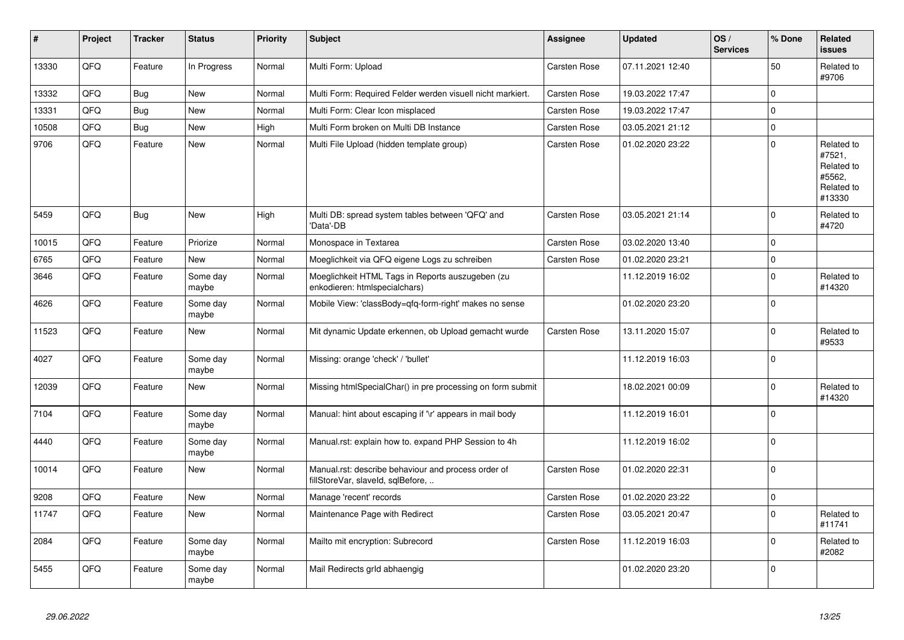| #     | Project | <b>Tracker</b> | <b>Status</b>     | <b>Priority</b> | <b>Subject</b>                                                                           | <b>Assignee</b>     | <b>Updated</b>   | OS/<br><b>Services</b> | % Done         | Related<br><b>issues</b>                                             |
|-------|---------|----------------|-------------------|-----------------|------------------------------------------------------------------------------------------|---------------------|------------------|------------------------|----------------|----------------------------------------------------------------------|
| 13330 | QFQ     | Feature        | In Progress       | Normal          | Multi Form: Upload                                                                       | Carsten Rose        | 07.11.2021 12:40 |                        | 50             | Related to<br>#9706                                                  |
| 13332 | QFQ     | Bug            | <b>New</b>        | Normal          | Multi Form: Required Felder werden visuell nicht markiert.                               | Carsten Rose        | 19.03.2022 17:47 |                        | $\overline{0}$ |                                                                      |
| 13331 | QFQ     | Bug            | <b>New</b>        | Normal          | Multi Form: Clear Icon misplaced                                                         | Carsten Rose        | 19.03.2022 17:47 |                        | $\overline{0}$ |                                                                      |
| 10508 | QFQ     | Bug            | New               | High            | Multi Form broken on Multi DB Instance                                                   | Carsten Rose        | 03.05.2021 21:12 |                        | 0              |                                                                      |
| 9706  | QFQ     | Feature        | <b>New</b>        | Normal          | Multi File Upload (hidden template group)                                                | Carsten Rose        | 01.02.2020 23:22 |                        | $\overline{0}$ | Related to<br>#7521,<br>Related to<br>#5562,<br>Related to<br>#13330 |
| 5459  | QFQ     | Bug            | <b>New</b>        | High            | Multi DB: spread system tables between 'QFQ' and<br>'Data'-DB                            | <b>Carsten Rose</b> | 03.05.2021 21:14 |                        | 0              | Related to<br>#4720                                                  |
| 10015 | QFQ     | Feature        | Priorize          | Normal          | Monospace in Textarea                                                                    | Carsten Rose        | 03.02.2020 13:40 |                        | 0              |                                                                      |
| 6765  | QFQ     | Feature        | <b>New</b>        | Normal          | Moeglichkeit via QFQ eigene Logs zu schreiben                                            | Carsten Rose        | 01.02.2020 23:21 |                        | 0              |                                                                      |
| 3646  | QFQ     | Feature        | Some day<br>maybe | Normal          | Moeglichkeit HTML Tags in Reports auszugeben (zu<br>enkodieren: htmlspecialchars)        |                     | 11.12.2019 16:02 |                        | $\overline{0}$ | Related to<br>#14320                                                 |
| 4626  | QFQ     | Feature        | Some day<br>maybe | Normal          | Mobile View: 'classBody=qfq-form-right' makes no sense                                   |                     | 01.02.2020 23:20 |                        | $\overline{0}$ |                                                                      |
| 11523 | QFQ     | Feature        | New               | Normal          | Mit dynamic Update erkennen, ob Upload gemacht wurde                                     | <b>Carsten Rose</b> | 13.11.2020 15:07 |                        | 0              | Related to<br>#9533                                                  |
| 4027  | QFQ     | Feature        | Some day<br>maybe | Normal          | Missing: orange 'check' / 'bullet'                                                       |                     | 11.12.2019 16:03 |                        | $\overline{0}$ |                                                                      |
| 12039 | QFQ     | Feature        | <b>New</b>        | Normal          | Missing htmlSpecialChar() in pre processing on form submit                               |                     | 18.02.2021 00:09 |                        | $\overline{0}$ | Related to<br>#14320                                                 |
| 7104  | QFQ     | Feature        | Some day<br>maybe | Normal          | Manual: hint about escaping if '\r' appears in mail body                                 |                     | 11.12.2019 16:01 |                        | 0              |                                                                      |
| 4440  | QFQ     | Feature        | Some day<br>maybe | Normal          | Manual.rst: explain how to. expand PHP Session to 4h                                     |                     | 11.12.2019 16:02 |                        | $\overline{0}$ |                                                                      |
| 10014 | QFQ     | Feature        | <b>New</b>        | Normal          | Manual.rst: describe behaviour and process order of<br>fillStoreVar, slaveId, sqlBefore, | Carsten Rose        | 01.02.2020 22:31 |                        | $\overline{0}$ |                                                                      |
| 9208  | QFQ     | Feature        | <b>New</b>        | Normal          | Manage 'recent' records                                                                  | Carsten Rose        | 01.02.2020 23:22 |                        | 0              |                                                                      |
| 11747 | QFQ     | Feature        | <b>New</b>        | Normal          | Maintenance Page with Redirect                                                           | Carsten Rose        | 03.05.2021 20:47 |                        | 0              | Related to<br>#11741                                                 |
| 2084  | QFQ     | Feature        | Some day<br>maybe | Normal          | Mailto mit encryption: Subrecord                                                         | Carsten Rose        | 11.12.2019 16:03 |                        | $\pmb{0}$      | Related to<br>#2082                                                  |
| 5455  | QFQ     | Feature        | Some day<br>maybe | Normal          | Mail Redirects grld abhaengig                                                            |                     | 01.02.2020 23:20 |                        | 0              |                                                                      |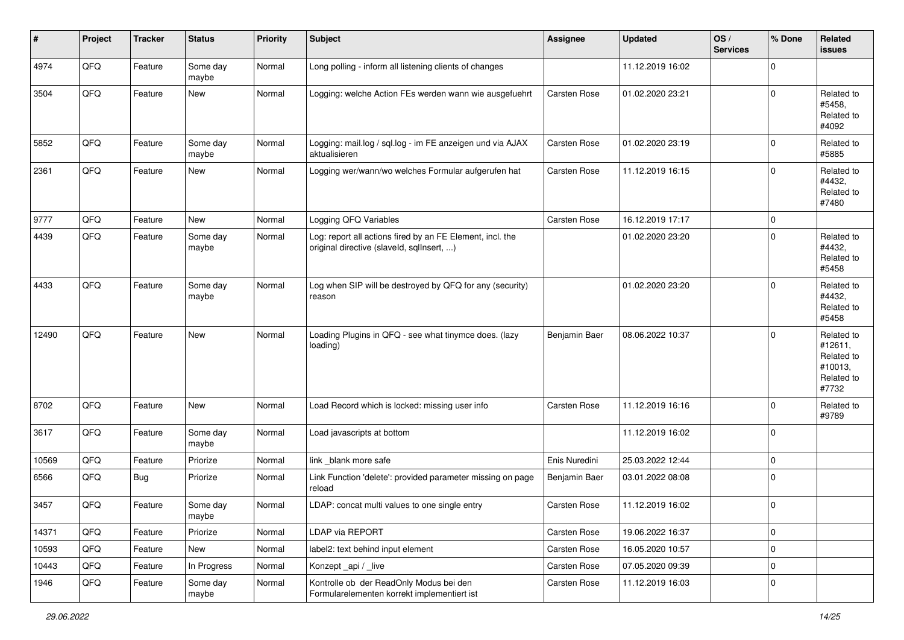| #     | Project | <b>Tracker</b> | <b>Status</b>     | <b>Priority</b> | Subject                                                                                                | <b>Assignee</b> | <b>Updated</b>   | OS/<br><b>Services</b> | % Done      | Related<br><b>issues</b>                                              |
|-------|---------|----------------|-------------------|-----------------|--------------------------------------------------------------------------------------------------------|-----------------|------------------|------------------------|-------------|-----------------------------------------------------------------------|
| 4974  | QFQ     | Feature        | Some day<br>maybe | Normal          | Long polling - inform all listening clients of changes                                                 |                 | 11.12.2019 16:02 |                        | $\Omega$    |                                                                       |
| 3504  | QFQ     | Feature        | New               | Normal          | Logging: welche Action FEs werden wann wie ausgefuehrt                                                 | Carsten Rose    | 01.02.2020 23:21 |                        | $\mathbf 0$ | Related to<br>#5458,<br>Related to<br>#4092                           |
| 5852  | QFQ     | Feature        | Some day<br>maybe | Normal          | Logging: mail.log / sql.log - im FE anzeigen und via AJAX<br>aktualisieren                             | Carsten Rose    | 01.02.2020 23:19 |                        | $\Omega$    | Related to<br>#5885                                                   |
| 2361  | QFQ     | Feature        | <b>New</b>        | Normal          | Logging wer/wann/wo welches Formular aufgerufen hat                                                    | Carsten Rose    | 11.12.2019 16:15 |                        | $\Omega$    | Related to<br>#4432,<br>Related to<br>#7480                           |
| 9777  | QFQ     | Feature        | <b>New</b>        | Normal          | Logging QFQ Variables                                                                                  | Carsten Rose    | 16.12.2019 17:17 |                        | $\mathbf 0$ |                                                                       |
| 4439  | QFQ     | Feature        | Some day<br>maybe | Normal          | Log: report all actions fired by an FE Element, incl. the<br>original directive (slaveld, sqllnsert, ) |                 | 01.02.2020 23:20 |                        | $\mathbf 0$ | Related to<br>#4432,<br>Related to<br>#5458                           |
| 4433  | QFQ     | Feature        | Some day<br>maybe | Normal          | Log when SIP will be destroyed by QFQ for any (security)<br>reason                                     |                 | 01.02.2020 23:20 |                        | $\Omega$    | Related to<br>#4432,<br>Related to<br>#5458                           |
| 12490 | QFQ     | Feature        | New               | Normal          | Loading Plugins in QFQ - see what tinymce does. (lazy<br>loading)                                      | Benjamin Baer   | 08.06.2022 10:37 |                        | $\Omega$    | Related to<br>#12611,<br>Related to<br>#10013,<br>Related to<br>#7732 |
| 8702  | QFQ     | Feature        | New               | Normal          | Load Record which is locked: missing user info                                                         | Carsten Rose    | 11.12.2019 16:16 |                        | $\Omega$    | Related to<br>#9789                                                   |
| 3617  | QFQ     | Feature        | Some day<br>maybe | Normal          | Load javascripts at bottom                                                                             |                 | 11.12.2019 16:02 |                        | $\mathbf 0$ |                                                                       |
| 10569 | QFQ     | Feature        | Priorize          | Normal          | link _blank more safe                                                                                  | Enis Nuredini   | 25.03.2022 12:44 |                        | $\mathbf 0$ |                                                                       |
| 6566  | QFQ     | Bug            | Priorize          | Normal          | Link Function 'delete': provided parameter missing on page<br>reload                                   | Benjamin Baer   | 03.01.2022 08:08 |                        | $\Omega$    |                                                                       |
| 3457  | QFQ     | Feature        | Some day<br>maybe | Normal          | LDAP: concat multi values to one single entry                                                          | Carsten Rose    | 11.12.2019 16:02 |                        | $\mathbf 0$ |                                                                       |
| 14371 | QFO     | Feature        | Priorize          | Normal          | <b>LDAP via REPORT</b>                                                                                 | Carsten Rose    | 19.06.2022 16:37 |                        | $\mathbf 0$ |                                                                       |
| 10593 | QFQ     | Feature        | New               | Normal          | label2: text behind input element                                                                      | Carsten Rose    | 16.05.2020 10:57 |                        | $\mathbf 0$ |                                                                       |
| 10443 | QFQ     | Feature        | In Progress       | Normal          | Konzept_api / _live                                                                                    | Carsten Rose    | 07.05.2020 09:39 |                        | $\mathbf 0$ |                                                                       |
| 1946  | QFQ     | Feature        | Some day<br>maybe | Normal          | Kontrolle ob der ReadOnly Modus bei den<br>Formularelementen korrekt implementiert ist                 | Carsten Rose    | 11.12.2019 16:03 |                        | $\mathbf 0$ |                                                                       |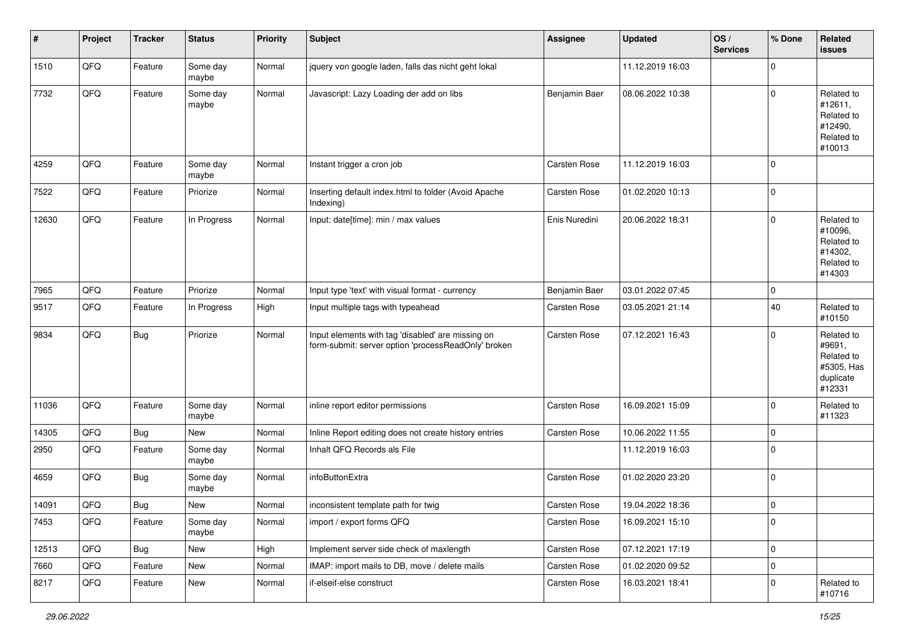| $\vert$ # | Project | <b>Tracker</b> | <b>Status</b>     | <b>Priority</b> | <b>Subject</b>                                                                                           | <b>Assignee</b> | <b>Updated</b>   | OS/<br><b>Services</b> | % Done      | Related<br><b>issues</b>                                                |
|-----------|---------|----------------|-------------------|-----------------|----------------------------------------------------------------------------------------------------------|-----------------|------------------|------------------------|-------------|-------------------------------------------------------------------------|
| 1510      | QFQ     | Feature        | Some day<br>maybe | Normal          | jquery von google laden, falls das nicht geht lokal                                                      |                 | 11.12.2019 16:03 |                        | $\Omega$    |                                                                         |
| 7732      | QFQ     | Feature        | Some day<br>maybe | Normal          | Javascript: Lazy Loading der add on libs                                                                 | Benjamin Baer   | 08.06.2022 10:38 |                        | $\mathbf 0$ | Related to<br>#12611,<br>Related to<br>#12490,<br>Related to<br>#10013  |
| 4259      | QFQ     | Feature        | Some day<br>maybe | Normal          | Instant trigger a cron job                                                                               | Carsten Rose    | 11.12.2019 16:03 |                        | $\Omega$    |                                                                         |
| 7522      | QFQ     | Feature        | Priorize          | Normal          | Inserting default index.html to folder (Avoid Apache<br>Indexing)                                        | Carsten Rose    | 01.02.2020 10:13 |                        | $\Omega$    |                                                                         |
| 12630     | QFQ     | Feature        | In Progress       | Normal          | Input: date[time]: min / max values                                                                      | Enis Nuredini   | 20.06.2022 18:31 |                        | $\Omega$    | Related to<br>#10096,<br>Related to<br>#14302,<br>Related to<br>#14303  |
| 7965      | QFQ     | Feature        | Priorize          | Normal          | Input type 'text' with visual format - currency                                                          | Benjamin Baer   | 03.01.2022 07:45 |                        | $\mathbf 0$ |                                                                         |
| 9517      | QFQ     | Feature        | In Progress       | High            | Input multiple tags with typeahead                                                                       | Carsten Rose    | 03.05.2021 21:14 |                        | 40          | Related to<br>#10150                                                    |
| 9834      | QFQ     | Bug            | Priorize          | Normal          | Input elements with tag 'disabled' are missing on<br>form-submit: server option 'processReadOnly' broken | Carsten Rose    | 07.12.2021 16:43 |                        | $\Omega$    | Related to<br>#9691,<br>Related to<br>#5305, Has<br>duplicate<br>#12331 |
| 11036     | QFQ     | Feature        | Some day<br>maybe | Normal          | inline report editor permissions                                                                         | Carsten Rose    | 16.09.2021 15:09 |                        | 0           | Related to<br>#11323                                                    |
| 14305     | QFQ     | Bug            | <b>New</b>        | Normal          | Inline Report editing does not create history entries                                                    | Carsten Rose    | 10.06.2022 11:55 |                        | 0           |                                                                         |
| 2950      | QFQ     | Feature        | Some day<br>maybe | Normal          | Inhalt QFQ Records als File                                                                              |                 | 11.12.2019 16:03 |                        | $\Omega$    |                                                                         |
| 4659      | QFQ     | <b>Bug</b>     | Some day<br>maybe | Normal          | infoButtonExtra                                                                                          | Carsten Rose    | 01.02.2020 23:20 |                        | $\Omega$    |                                                                         |
| 14091     | QFQ     | Bug            | <b>New</b>        | Normal          | inconsistent template path for twig                                                                      | Carsten Rose    | 19.04.2022 18:36 |                        | $\mathbf 0$ |                                                                         |
| 7453      | QFQ     | Feature        | Some day<br>maybe | Normal          | import / export forms QFQ                                                                                | Carsten Rose    | 16.09.2021 15:10 |                        | 0           |                                                                         |
| 12513     | QFQ     | Bug            | New               | High            | Implement server side check of maxlength                                                                 | Carsten Rose    | 07.12.2021 17:19 |                        | 0           |                                                                         |
| 7660      | QFQ     | Feature        | New               | Normal          | IMAP: import mails to DB, move / delete mails                                                            | Carsten Rose    | 01.02.2020 09:52 |                        | 0           |                                                                         |
| 8217      | QFQ     | Feature        | New               | Normal          | if-elseif-else construct                                                                                 | Carsten Rose    | 16.03.2021 18:41 |                        | $\mathbf 0$ | Related to<br>#10716                                                    |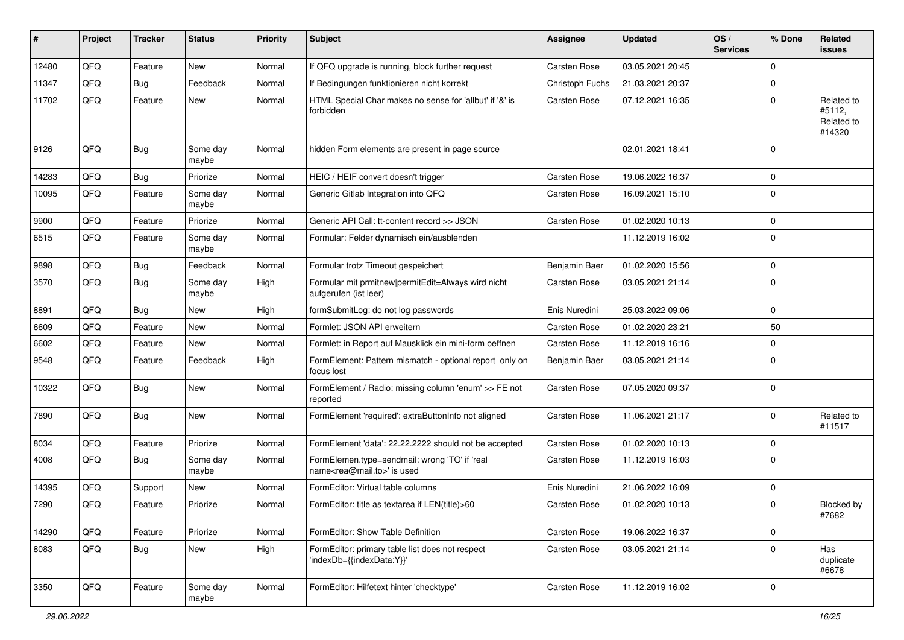| ∦     | Project | <b>Tracker</b> | <b>Status</b>     | <b>Priority</b> | <b>Subject</b>                                                                             | <b>Assignee</b> | <b>Updated</b>   | OS/<br><b>Services</b> | % Done      | Related<br>issues                            |
|-------|---------|----------------|-------------------|-----------------|--------------------------------------------------------------------------------------------|-----------------|------------------|------------------------|-------------|----------------------------------------------|
| 12480 | QFQ     | Feature        | <b>New</b>        | Normal          | If QFQ upgrade is running, block further request                                           | Carsten Rose    | 03.05.2021 20:45 |                        | $\Omega$    |                                              |
| 11347 | QFQ     | Bug            | Feedback          | Normal          | If Bedingungen funktionieren nicht korrekt                                                 | Christoph Fuchs | 21.03.2021 20:37 |                        | 0           |                                              |
| 11702 | QFQ     | Feature        | <b>New</b>        | Normal          | HTML Special Char makes no sense for 'allbut' if '&' is<br>forbidden                       | Carsten Rose    | 07.12.2021 16:35 |                        | $\Omega$    | Related to<br>#5112,<br>Related to<br>#14320 |
| 9126  | QFQ     | Bug            | Some day<br>maybe | Normal          | hidden Form elements are present in page source                                            |                 | 02.01.2021 18:41 |                        | $\Omega$    |                                              |
| 14283 | QFQ     | Bug            | Priorize          | Normal          | HEIC / HEIF convert doesn't trigger                                                        | Carsten Rose    | 19.06.2022 16:37 |                        | $\mathbf 0$ |                                              |
| 10095 | QFQ     | Feature        | Some day<br>maybe | Normal          | Generic Gitlab Integration into QFQ                                                        | Carsten Rose    | 16.09.2021 15:10 |                        | $\Omega$    |                                              |
| 9900  | QFQ     | Feature        | Priorize          | Normal          | Generic API Call: tt-content record >> JSON                                                | Carsten Rose    | 01.02.2020 10:13 |                        | 0           |                                              |
| 6515  | QFQ     | Feature        | Some day<br>maybe | Normal          | Formular: Felder dynamisch ein/ausblenden                                                  |                 | 11.12.2019 16:02 |                        | $\Omega$    |                                              |
| 9898  | QFQ     | Bug            | Feedback          | Normal          | Formular trotz Timeout gespeichert                                                         | Benjamin Baer   | 01.02.2020 15:56 |                        | 0           |                                              |
| 3570  | QFQ     | <b>Bug</b>     | Some dav<br>maybe | High            | Formular mit prmitnew permitEdit=Always wird nicht<br>aufgerufen (ist leer)                | Carsten Rose    | 03.05.2021 21:14 |                        | $\Omega$    |                                              |
| 8891  | QFQ     | Bug            | <b>New</b>        | High            | formSubmitLog: do not log passwords                                                        | Enis Nuredini   | 25.03.2022 09:06 |                        | $\mathbf 0$ |                                              |
| 6609  | QFQ     | Feature        | New               | Normal          | Formlet: JSON API erweitern                                                                | Carsten Rose    | 01.02.2020 23:21 |                        | 50          |                                              |
| 6602  | QFQ     | Feature        | <b>New</b>        | Normal          | Formlet: in Report auf Mausklick ein mini-form oeffnen                                     | Carsten Rose    | 11.12.2019 16:16 |                        | 0           |                                              |
| 9548  | QFQ     | Feature        | Feedback          | High            | FormElement: Pattern mismatch - optional report only on<br>focus lost                      | Benjamin Baer   | 03.05.2021 21:14 |                        | $\Omega$    |                                              |
| 10322 | QFQ     | Bug            | New               | Normal          | FormElement / Radio: missing column 'enum' >> FE not<br>reported                           | Carsten Rose    | 07.05.2020 09:37 |                        | $\mathbf 0$ |                                              |
| 7890  | QFQ     | Bug            | New               | Normal          | FormElement 'required': extraButtonInfo not aligned                                        | Carsten Rose    | 11.06.2021 21:17 |                        | $\mathbf 0$ | Related to<br>#11517                         |
| 8034  | QFQ     | Feature        | Priorize          | Normal          | FormElement 'data': 22.22.2222 should not be accepted                                      | Carsten Rose    | 01.02.2020 10:13 |                        | 0           |                                              |
| 4008  | QFQ     | Bug            | Some day<br>maybe | Normal          | FormElemen.type=sendmail: wrong 'TO' if 'real<br>name <rea@mail.to>' is used</rea@mail.to> | Carsten Rose    | 11.12.2019 16:03 |                        | $\Omega$    |                                              |
| 14395 | QFQ     | Support        | <b>New</b>        | Normal          | FormEditor: Virtual table columns                                                          | Enis Nuredini   | 21.06.2022 16:09 |                        | 0           |                                              |
| 7290  | QFQ     | Feature        | Priorize          | Normal          | FormEditor: title as textarea if LEN(title)>60                                             | Carsten Rose    | 01.02.2020 10:13 |                        | $\Omega$    | Blocked by<br>#7682                          |
| 14290 | QFQ     | Feature        | Priorize          | Normal          | FormEditor: Show Table Definition                                                          | Carsten Rose    | 19.06.2022 16:37 |                        | $\mathbf 0$ |                                              |
| 8083  | QFQ     | <b>Bug</b>     | New               | High            | FormEditor: primary table list does not respect<br>'indexDb={{indexData:Y}}'               | Carsten Rose    | 03.05.2021 21:14 |                        | $\Omega$    | Has<br>duplicate<br>#6678                    |
| 3350  | QFQ     | Feature        | Some day<br>maybe | Normal          | FormEditor: Hilfetext hinter 'checktype'                                                   | Carsten Rose    | 11.12.2019 16:02 |                        | 0           |                                              |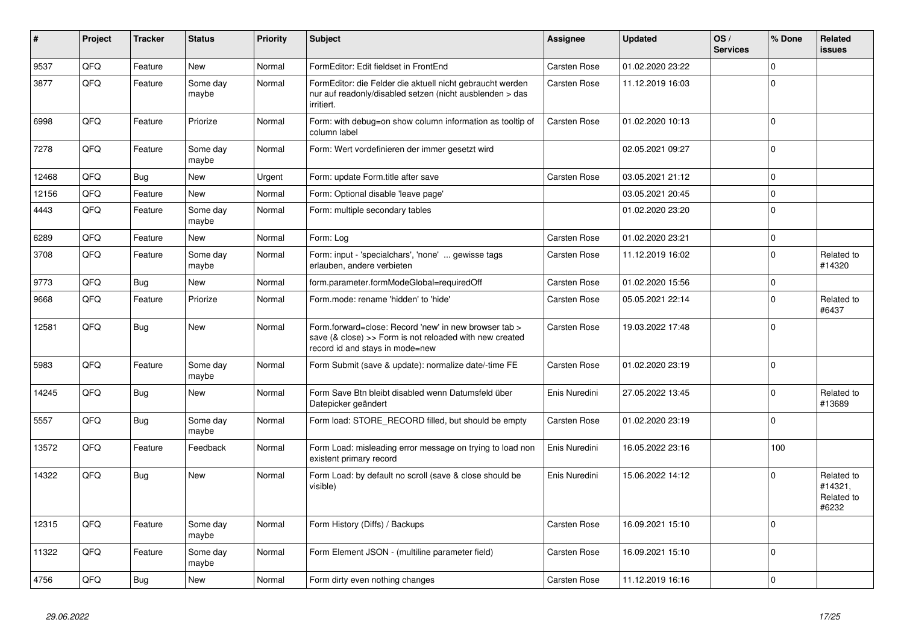| #     | Project | <b>Tracker</b> | <b>Status</b>     | <b>Priority</b> | Subject                                                                                                                                             | Assignee            | <b>Updated</b>   | OS/<br><b>Services</b> | % Done      | Related<br>issues                            |
|-------|---------|----------------|-------------------|-----------------|-----------------------------------------------------------------------------------------------------------------------------------------------------|---------------------|------------------|------------------------|-------------|----------------------------------------------|
| 9537  | QFQ     | Feature        | <b>New</b>        | Normal          | FormEditor: Edit fieldset in FrontEnd                                                                                                               | Carsten Rose        | 01.02.2020 23:22 |                        | $\Omega$    |                                              |
| 3877  | QFQ     | Feature        | Some day<br>maybe | Normal          | FormEditor: die Felder die aktuell nicht gebraucht werden<br>nur auf readonly/disabled setzen (nicht ausblenden > das<br>irritiert.                 | Carsten Rose        | 11.12.2019 16:03 |                        | $\Omega$    |                                              |
| 6998  | QFQ     | Feature        | Priorize          | Normal          | Form: with debug=on show column information as tooltip of<br>column label                                                                           | Carsten Rose        | 01.02.2020 10:13 |                        | $\mathbf 0$ |                                              |
| 7278  | QFQ     | Feature        | Some day<br>maybe | Normal          | Form: Wert vordefinieren der immer gesetzt wird                                                                                                     |                     | 02.05.2021 09:27 |                        | $\Omega$    |                                              |
| 12468 | QFQ     | <b>Bug</b>     | <b>New</b>        | Urgent          | Form: update Form.title after save                                                                                                                  | <b>Carsten Rose</b> | 03.05.2021 21:12 |                        | $\Omega$    |                                              |
| 12156 | QFQ     | Feature        | <b>New</b>        | Normal          | Form: Optional disable 'leave page'                                                                                                                 |                     | 03.05.2021 20:45 |                        | $\Omega$    |                                              |
| 4443  | QFQ     | Feature        | Some day<br>maybe | Normal          | Form: multiple secondary tables                                                                                                                     |                     | 01.02.2020 23:20 |                        | $\Omega$    |                                              |
| 6289  | QFQ     | Feature        | <b>New</b>        | Normal          | Form: Log                                                                                                                                           | <b>Carsten Rose</b> | 01.02.2020 23:21 |                        | $\Omega$    |                                              |
| 3708  | QFQ     | Feature        | Some day<br>maybe | Normal          | Form: input - 'specialchars', 'none'  gewisse tags<br>erlauben, andere verbieten                                                                    | Carsten Rose        | 11.12.2019 16:02 |                        | $\Omega$    | Related to<br>#14320                         |
| 9773  | QFQ     | <b>Bug</b>     | <b>New</b>        | Normal          | form.parameter.formModeGlobal=requiredOff                                                                                                           | <b>Carsten Rose</b> | 01.02.2020 15:56 |                        | $\mathbf 0$ |                                              |
| 9668  | QFQ     | Feature        | Priorize          | Normal          | Form.mode: rename 'hidden' to 'hide'                                                                                                                | <b>Carsten Rose</b> | 05.05.2021 22:14 |                        | $\Omega$    | Related to<br>#6437                          |
| 12581 | QFQ     | <b>Bug</b>     | <b>New</b>        | Normal          | Form forward=close: Record 'new' in new browser tab ><br>save (& close) >> Form is not reloaded with new created<br>record id and stays in mode=new | Carsten Rose        | 19.03.2022 17:48 |                        | $\Omega$    |                                              |
| 5983  | QFQ     | Feature        | Some day<br>maybe | Normal          | Form Submit (save & update): normalize date/-time FE                                                                                                | Carsten Rose        | 01.02.2020 23:19 |                        | $\Omega$    |                                              |
| 14245 | QFQ     | Bug            | <b>New</b>        | Normal          | Form Save Btn bleibt disabled wenn Datumsfeld über<br>Datepicker geändert                                                                           | Enis Nuredini       | 27.05.2022 13:45 |                        | $\Omega$    | Related to<br>#13689                         |
| 5557  | QFQ     | <b>Bug</b>     | Some day<br>maybe | Normal          | Form load: STORE_RECORD filled, but should be empty                                                                                                 | Carsten Rose        | 01.02.2020 23:19 |                        | $\Omega$    |                                              |
| 13572 | QFQ     | Feature        | Feedback          | Normal          | Form Load: misleading error message on trying to load non<br>existent primary record                                                                | Enis Nuredini       | 16.05.2022 23:16 |                        | 100         |                                              |
| 14322 | QFQ     | <b>Bug</b>     | <b>New</b>        | Normal          | Form Load: by default no scroll (save & close should be<br>visible)                                                                                 | Enis Nuredini       | 15.06.2022 14:12 |                        | $\Omega$    | Related to<br>#14321,<br>Related to<br>#6232 |
| 12315 | QFQ     | Feature        | Some day<br>maybe | Normal          | Form History (Diffs) / Backups                                                                                                                      | Carsten Rose        | 16.09.2021 15:10 |                        | $\Omega$    |                                              |
| 11322 | QFQ     | Feature        | Some day<br>maybe | Normal          | Form Element JSON - (multiline parameter field)                                                                                                     | Carsten Rose        | 16.09.2021 15:10 |                        | $\Omega$    |                                              |
| 4756  | QFQ     | Bug            | New               | Normal          | Form dirty even nothing changes                                                                                                                     | <b>Carsten Rose</b> | 11.12.2019 16:16 |                        | $\mathbf 0$ |                                              |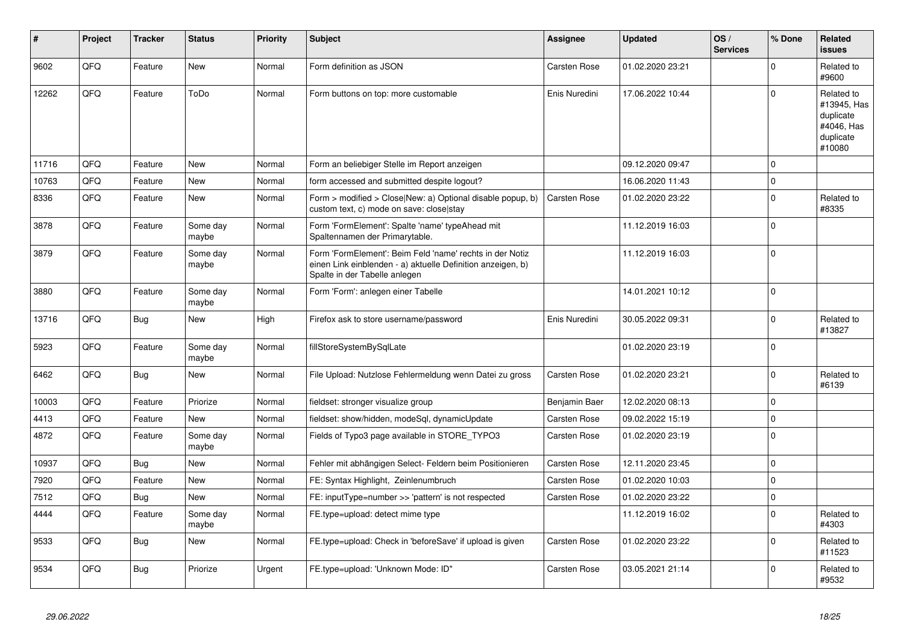| #     | Project | <b>Tracker</b> | <b>Status</b>     | <b>Priority</b> | <b>Subject</b>                                                                                                                                           | Assignee            | <b>Updated</b>   | OS/<br><b>Services</b> | % Done      | Related<br><b>issues</b>                                                    |
|-------|---------|----------------|-------------------|-----------------|----------------------------------------------------------------------------------------------------------------------------------------------------------|---------------------|------------------|------------------------|-------------|-----------------------------------------------------------------------------|
| 9602  | QFQ     | Feature        | New               | Normal          | Form definition as JSON                                                                                                                                  | Carsten Rose        | 01.02.2020 23:21 |                        | $\Omega$    | Related to<br>#9600                                                         |
| 12262 | QFQ     | Feature        | ToDo              | Normal          | Form buttons on top: more customable                                                                                                                     | Enis Nuredini       | 17.06.2022 10:44 |                        | $\Omega$    | Related to<br>#13945, Has<br>duplicate<br>#4046, Has<br>duplicate<br>#10080 |
| 11716 | QFQ     | Feature        | <b>New</b>        | Normal          | Form an beliebiger Stelle im Report anzeigen                                                                                                             |                     | 09.12.2020 09:47 |                        | $\Omega$    |                                                                             |
| 10763 | QFQ     | Feature        | New               | Normal          | form accessed and submitted despite logout?                                                                                                              |                     | 16.06.2020 11:43 |                        | $\Omega$    |                                                                             |
| 8336  | QFQ     | Feature        | New               | Normal          | Form > modified > Close New: a) Optional disable popup, b)<br>custom text, c) mode on save: close stay                                                   | <b>Carsten Rose</b> | 01.02.2020 23:22 |                        | $\mathbf 0$ | Related to<br>#8335                                                         |
| 3878  | QFQ     | Feature        | Some day<br>maybe | Normal          | Form 'FormElement': Spalte 'name' typeAhead mit<br>Spaltennamen der Primarytable.                                                                        |                     | 11.12.2019 16:03 |                        | $\Omega$    |                                                                             |
| 3879  | QFQ     | Feature        | Some day<br>maybe | Normal          | Form 'FormElement': Beim Feld 'name' rechts in der Notiz<br>einen Link einblenden - a) aktuelle Definition anzeigen, b)<br>Spalte in der Tabelle anlegen |                     | 11.12.2019 16:03 |                        | $\Omega$    |                                                                             |
| 3880  | QFQ     | Feature        | Some day<br>maybe | Normal          | Form 'Form': anlegen einer Tabelle                                                                                                                       |                     | 14.01.2021 10:12 |                        | $\Omega$    |                                                                             |
| 13716 | QFQ     | <b>Bug</b>     | New               | High            | Firefox ask to store username/password                                                                                                                   | Enis Nuredini       | 30.05.2022 09:31 |                        | $\Omega$    | Related to<br>#13827                                                        |
| 5923  | QFQ     | Feature        | Some day<br>maybe | Normal          | fillStoreSystemBySqlLate                                                                                                                                 |                     | 01.02.2020 23:19 |                        | 0           |                                                                             |
| 6462  | QFQ     | Bug            | <b>New</b>        | Normal          | File Upload: Nutzlose Fehlermeldung wenn Datei zu gross                                                                                                  | Carsten Rose        | 01.02.2020 23:21 |                        | $\Omega$    | Related to<br>#6139                                                         |
| 10003 | QFQ     | Feature        | Priorize          | Normal          | fieldset: stronger visualize group                                                                                                                       | Benjamin Baer       | 12.02.2020 08:13 |                        | $\Omega$    |                                                                             |
| 4413  | QFQ     | Feature        | New               | Normal          | fieldset: show/hidden, modeSql, dynamicUpdate                                                                                                            | Carsten Rose        | 09.02.2022 15:19 |                        | $\Omega$    |                                                                             |
| 4872  | QFQ     | Feature        | Some day<br>maybe | Normal          | Fields of Typo3 page available in STORE_TYPO3                                                                                                            | Carsten Rose        | 01.02.2020 23:19 |                        | $\Omega$    |                                                                             |
| 10937 | QFQ     | Bug            | <b>New</b>        | Normal          | Fehler mit abhängigen Select- Feldern beim Positionieren                                                                                                 | Carsten Rose        | 12.11.2020 23:45 |                        | $\Omega$    |                                                                             |
| 7920  | QFQ     | Feature        | <b>New</b>        | Normal          | FE: Syntax Highlight, Zeinlenumbruch                                                                                                                     | Carsten Rose        | 01.02.2020 10:03 |                        | $\Omega$    |                                                                             |
| 7512  | QFQ     | <b>Bug</b>     | <b>New</b>        | Normal          | FE: inputType=number >> 'pattern' is not respected                                                                                                       | Carsten Rose        | 01.02.2020 23:22 |                        | 0           |                                                                             |
| 4444  | QFQ     | Feature        | Some day<br>maybe | Normal          | FE.type=upload: detect mime type                                                                                                                         |                     | 11.12.2019 16:02 |                        | $\Omega$    | Related to<br>#4303                                                         |
| 9533  | QFQ     | <b>Bug</b>     | <b>New</b>        | Normal          | FE.type=upload: Check in 'beforeSave' if upload is given                                                                                                 | Carsten Rose        | 01.02.2020 23:22 |                        | $\mathbf 0$ | Related to<br>#11523                                                        |
| 9534  | QFQ     | Bug            | Priorize          | Urgent          | FE.type=upload: 'Unknown Mode: ID"                                                                                                                       | Carsten Rose        | 03.05.2021 21:14 |                        | $\Omega$    | Related to<br>#9532                                                         |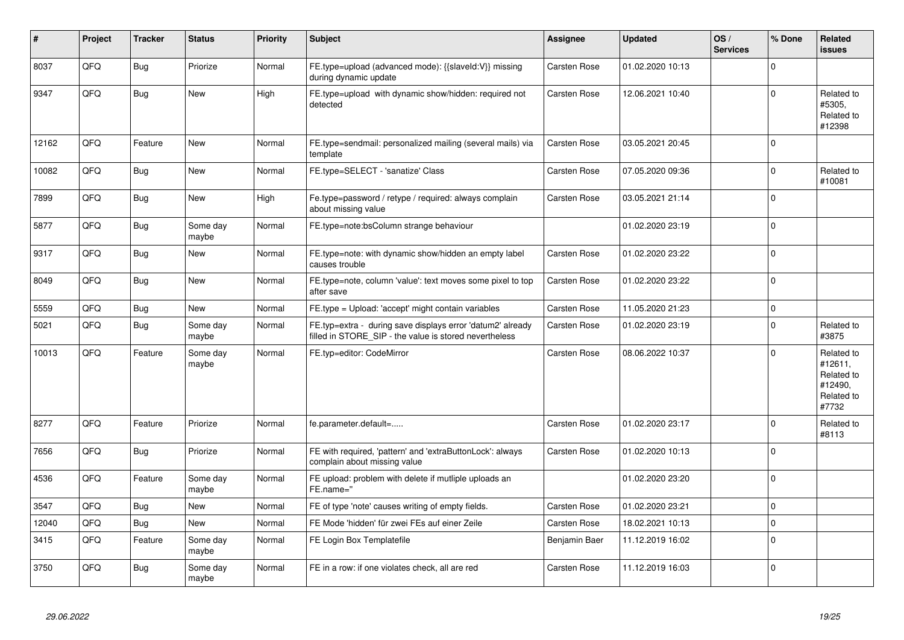| #     | Project | <b>Tracker</b> | <b>Status</b>     | <b>Priority</b> | <b>Subject</b>                                                                                                       | Assignee            | <b>Updated</b>   | OS/<br><b>Services</b> | % Done       | Related<br>issues                                                     |
|-------|---------|----------------|-------------------|-----------------|----------------------------------------------------------------------------------------------------------------------|---------------------|------------------|------------------------|--------------|-----------------------------------------------------------------------|
| 8037  | QFQ     | <b>Bug</b>     | Priorize          | Normal          | FE.type=upload (advanced mode): {{slaveId:V}} missing<br>during dynamic update                                       | Carsten Rose        | 01.02.2020 10:13 |                        | $\mathbf 0$  |                                                                       |
| 9347  | QFQ     | Bug            | <b>New</b>        | High            | FE.type=upload with dynamic show/hidden: required not<br>detected                                                    | Carsten Rose        | 12.06.2021 10:40 |                        | 0            | Related to<br>#5305,<br>Related to<br>#12398                          |
| 12162 | QFQ     | Feature        | <b>New</b>        | Normal          | FE.type=sendmail: personalized mailing (several mails) via<br>template                                               | <b>Carsten Rose</b> | 03.05.2021 20:45 |                        | $\Omega$     |                                                                       |
| 10082 | QFQ     | Bug            | <b>New</b>        | Normal          | FE.type=SELECT - 'sanatize' Class                                                                                    | Carsten Rose        | 07.05.2020 09:36 |                        | $\mathbf 0$  | Related to<br>#10081                                                  |
| 7899  | QFQ     | Bug            | New               | High            | Fe.type=password / retype / required: always complain<br>about missing value                                         | <b>Carsten Rose</b> | 03.05.2021 21:14 |                        | $\mathbf{0}$ |                                                                       |
| 5877  | QFQ     | <b>Bug</b>     | Some day<br>maybe | Normal          | FE.type=note:bsColumn strange behaviour                                                                              |                     | 01.02.2020 23:19 |                        | $\mathbf 0$  |                                                                       |
| 9317  | QFQ     | <b>Bug</b>     | New               | Normal          | FE.type=note: with dynamic show/hidden an empty label<br>causes trouble                                              | <b>Carsten Rose</b> | 01.02.2020 23:22 |                        | $\Omega$     |                                                                       |
| 8049  | QFQ     | <b>Bug</b>     | <b>New</b>        | Normal          | FE.type=note, column 'value': text moves some pixel to top<br>after save                                             | Carsten Rose        | 01.02.2020 23:22 |                        | $\Omega$     |                                                                       |
| 5559  | QFQ     | <b>Bug</b>     | <b>New</b>        | Normal          | FE.type = Upload: 'accept' might contain variables                                                                   | Carsten Rose        | 11.05.2020 21:23 |                        | $\mathbf 0$  |                                                                       |
| 5021  | QFQ     | Bug            | Some day<br>maybe | Normal          | FE.typ=extra - during save displays error 'datum2' already<br>filled in STORE_SIP - the value is stored nevertheless | Carsten Rose        | 01.02.2020 23:19 |                        | $\Omega$     | Related to<br>#3875                                                   |
| 10013 | QFQ     | Feature        | Some day<br>maybe | Normal          | FE.typ=editor: CodeMirror                                                                                            | <b>Carsten Rose</b> | 08.06.2022 10:37 |                        | $\Omega$     | Related to<br>#12611,<br>Related to<br>#12490,<br>Related to<br>#7732 |
| 8277  | QFQ     | Feature        | Priorize          | Normal          | fe.parameter.default=                                                                                                | <b>Carsten Rose</b> | 01.02.2020 23:17 |                        | $\mathbf 0$  | Related to<br>#8113                                                   |
| 7656  | QFQ     | Bug            | Priorize          | Normal          | FE with required, 'pattern' and 'extraButtonLock': always<br>complain about missing value                            | <b>Carsten Rose</b> | 01.02.2020 10:13 |                        | 0            |                                                                       |
| 4536  | QFQ     | Feature        | Some day<br>maybe | Normal          | FE upload: problem with delete if mutliple uploads an<br>FE.name="                                                   |                     | 01.02.2020 23:20 |                        | $\Omega$     |                                                                       |
| 3547  | QFQ     | Bug            | New               | Normal          | FE of type 'note' causes writing of empty fields.                                                                    | Carsten Rose        | 01.02.2020 23:21 |                        | $\Omega$     |                                                                       |
| 12040 | QFQ     | Bug            | New               | Normal          | FE Mode 'hidden' für zwei FEs auf einer Zeile                                                                        | <b>Carsten Rose</b> | 18.02.2021 10:13 |                        | $\mathbf 0$  |                                                                       |
| 3415  | QFQ     | Feature        | Some day<br>maybe | Normal          | FE Login Box Templatefile                                                                                            | Benjamin Baer       | 11.12.2019 16:02 |                        | $\mathbf 0$  |                                                                       |
| 3750  | QFQ     | Bug            | Some day<br>maybe | Normal          | FE in a row: if one violates check, all are red                                                                      | Carsten Rose        | 11.12.2019 16:03 |                        | $\Omega$     |                                                                       |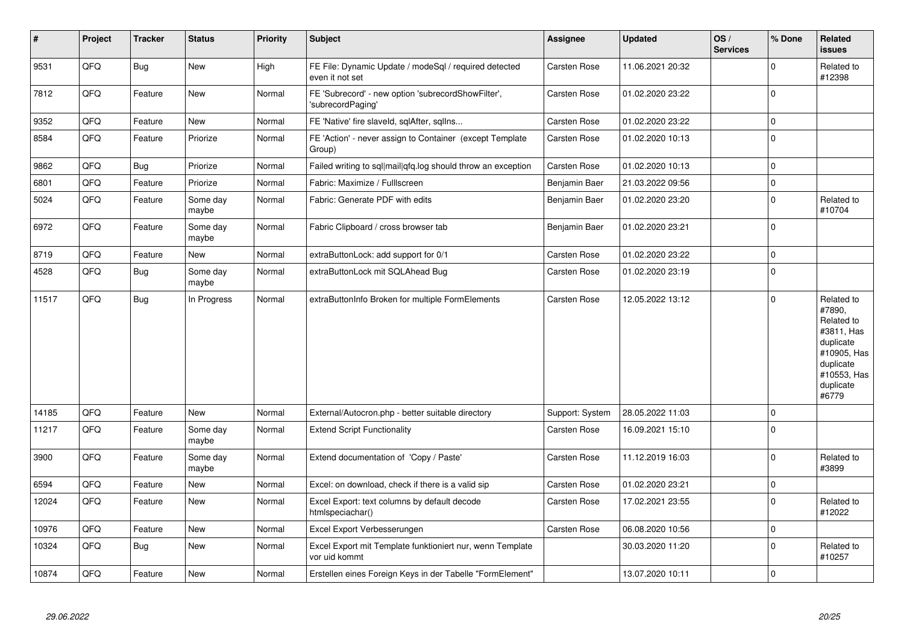| $\vert$ # | Project | <b>Tracker</b> | <b>Status</b>     | <b>Priority</b> | <b>Subject</b>                                                             | Assignee            | <b>Updated</b>   | OS/<br><b>Services</b> | % Done              | Related<br>issues                                                                                                              |
|-----------|---------|----------------|-------------------|-----------------|----------------------------------------------------------------------------|---------------------|------------------|------------------------|---------------------|--------------------------------------------------------------------------------------------------------------------------------|
| 9531      | QFQ     | <b>Bug</b>     | New               | High            | FE File: Dynamic Update / modeSql / required detected<br>even it not set   | Carsten Rose        | 11.06.2021 20:32 |                        | $\Omega$            | Related to<br>#12398                                                                                                           |
| 7812      | QFQ     | Feature        | <b>New</b>        | Normal          | FE 'Subrecord' - new option 'subrecordShowFilter',<br>'subrecordPaging'    | Carsten Rose        | 01.02.2020 23:22 |                        | $\Omega$            |                                                                                                                                |
| 9352      | QFQ     | Feature        | <b>New</b>        | Normal          | FE 'Native' fire slaveld, sqlAfter, sqlIns                                 | <b>Carsten Rose</b> | 01.02.2020 23:22 |                        | $\mathbf 0$         |                                                                                                                                |
| 8584      | QFQ     | Feature        | Priorize          | Normal          | FE 'Action' - never assign to Container (except Template<br>Group)         | Carsten Rose        | 01.02.2020 10:13 |                        | $\Omega$            |                                                                                                                                |
| 9862      | QFQ     | <b>Bug</b>     | Priorize          | Normal          | Failed writing to sql mail qfq.log should throw an exception               | Carsten Rose        | 01.02.2020 10:13 |                        | $\mathbf 0$         |                                                                                                                                |
| 6801      | QFQ     | Feature        | Priorize          | Normal          | Fabric: Maximize / FullIscreen                                             | Benjamin Baer       | 21.03.2022 09:56 |                        | $\pmb{0}$           |                                                                                                                                |
| 5024      | QFQ     | Feature        | Some day<br>maybe | Normal          | Fabric: Generate PDF with edits                                            | Benjamin Baer       | 01.02.2020 23:20 |                        | $\mathbf 0$         | Related to<br>#10704                                                                                                           |
| 6972      | QFQ     | Feature        | Some day<br>maybe | Normal          | Fabric Clipboard / cross browser tab                                       | Benjamin Baer       | 01.02.2020 23:21 |                        | $\Omega$            |                                                                                                                                |
| 8719      | QFQ     | Feature        | <b>New</b>        | Normal          | extraButtonLock: add support for 0/1                                       | Carsten Rose        | 01.02.2020 23:22 |                        | $\mathbf 0$         |                                                                                                                                |
| 4528      | QFQ     | <b>Bug</b>     | Some day<br>maybe | Normal          | extraButtonLock mit SQLAhead Bug                                           | Carsten Rose        | 01.02.2020 23:19 |                        | $\mathbf 0$         |                                                                                                                                |
| 11517     | QFQ     | Bug            | In Progress       | Normal          | extraButtonInfo Broken for multiple FormElements                           | Carsten Rose        | 12.05.2022 13:12 |                        | $\Omega$            | Related to<br>#7890,<br>Related to<br>#3811, Has<br>duplicate<br>#10905, Has<br>duplicate<br>#10553, Has<br>duplicate<br>#6779 |
| 14185     | QFQ     | Feature        | <b>New</b>        | Normal          | External/Autocron.php - better suitable directory                          | Support: System     | 28.05.2022 11:03 |                        | $\mathbf 0$         |                                                                                                                                |
| 11217     | QFQ     | Feature        | Some day<br>maybe | Normal          | <b>Extend Script Functionality</b>                                         | Carsten Rose        | 16.09.2021 15:10 |                        | $\mathbf 0$         |                                                                                                                                |
| 3900      | QFQ     | Feature        | Some day<br>maybe | Normal          | Extend documentation of 'Copy / Paste'                                     | Carsten Rose        | 11.12.2019 16:03 |                        | $\Omega$            | Related to<br>#3899                                                                                                            |
| 6594      | QFQ     | Feature        | <b>New</b>        | Normal          | Excel: on download, check if there is a valid sip                          | Carsten Rose        | 01.02.2020 23:21 |                        | $\mathbf 0$         |                                                                                                                                |
| 12024     | QFQ     | Feature        | <b>New</b>        | Normal          | Excel Export: text columns by default decode<br>htmlspeciachar()           | Carsten Rose        | 17.02.2021 23:55 |                        | $\mathbf 0$         | Related to<br>#12022                                                                                                           |
| 10976     | QFQ     | Feature        | New               | Normal          | Excel Export Verbesserungen                                                | Carsten Rose        | 06.08.2020 10:56 |                        | $\mathsf{O}\xspace$ |                                                                                                                                |
| 10324     | QFQ     | <b>Bug</b>     | <b>New</b>        | Normal          | Excel Export mit Template funktioniert nur, wenn Template<br>vor uid kommt |                     | 30.03.2020 11:20 |                        | $\mathbf 0$         | Related to<br>#10257                                                                                                           |
| 10874     | QFQ     | Feature        | <b>New</b>        | Normal          | Erstellen eines Foreign Keys in der Tabelle "FormElement"                  |                     | 13.07.2020 10:11 |                        | $\Omega$            |                                                                                                                                |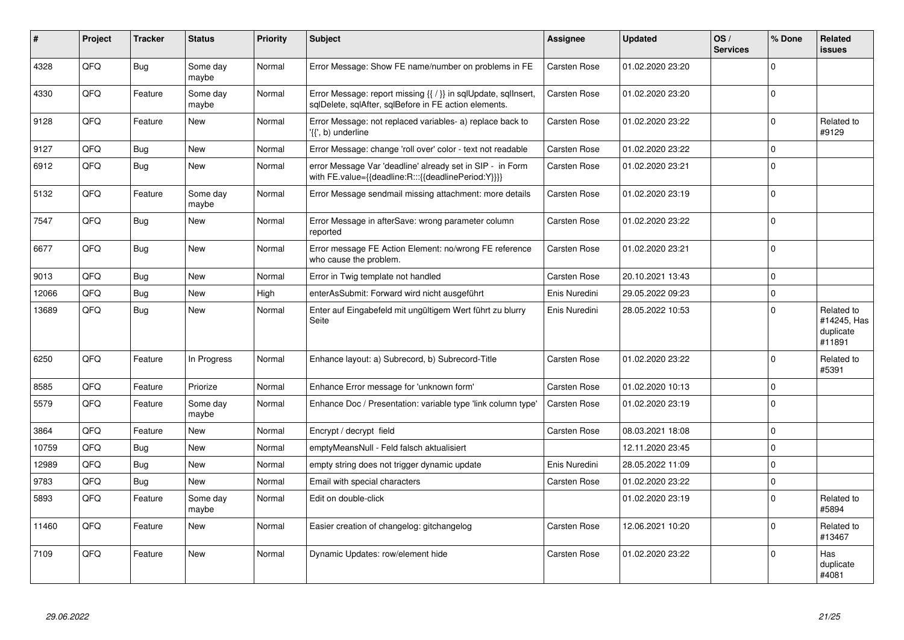| ∦     | Project | <b>Tracker</b> | <b>Status</b>     | <b>Priority</b> | <b>Subject</b>                                                                                                          | Assignee            | <b>Updated</b>   | OS/<br><b>Services</b> | % Done      | Related<br>issues                                |
|-------|---------|----------------|-------------------|-----------------|-------------------------------------------------------------------------------------------------------------------------|---------------------|------------------|------------------------|-------------|--------------------------------------------------|
| 4328  | QFQ     | <b>Bug</b>     | Some day<br>maybe | Normal          | Error Message: Show FE name/number on problems in FE                                                                    | Carsten Rose        | 01.02.2020 23:20 |                        | $\Omega$    |                                                  |
| 4330  | QFQ     | Feature        | Some day<br>maybe | Normal          | Error Message: report missing {{ / }} in sqlUpdate, sqlInsert,<br>sglDelete, sglAfter, sglBefore in FE action elements. | Carsten Rose        | 01.02.2020 23:20 |                        | $\Omega$    |                                                  |
| 9128  | QFQ     | Feature        | <b>New</b>        | Normal          | Error Message: not replaced variables- a) replace back to<br>'{{', b) underline                                         | Carsten Rose        | 01.02.2020 23:22 |                        | $\mathbf 0$ | Related to<br>#9129                              |
| 9127  | QFQ     | Bug            | <b>New</b>        | Normal          | Error Message: change 'roll over' color - text not readable                                                             | Carsten Rose        | 01.02.2020 23:22 |                        | $\mathbf 0$ |                                                  |
| 6912  | QFQ     | <b>Bug</b>     | <b>New</b>        | Normal          | error Message Var 'deadline' already set in SIP - in Form<br>with FE.value={{deadline:R:::{{deadlinePeriod:Y}}}}        | Carsten Rose        | 01.02.2020 23:21 |                        | $\Omega$    |                                                  |
| 5132  | QFQ     | Feature        | Some day<br>maybe | Normal          | Error Message sendmail missing attachment: more details                                                                 | Carsten Rose        | 01.02.2020 23:19 |                        | $\Omega$    |                                                  |
| 7547  | QFQ     | Bug            | <b>New</b>        | Normal          | Error Message in afterSave: wrong parameter column<br>reported                                                          | Carsten Rose        | 01.02.2020 23:22 |                        | $\Omega$    |                                                  |
| 6677  | QFQ     | Bug            | New               | Normal          | Error message FE Action Element: no/wrong FE reference<br>who cause the problem.                                        | <b>Carsten Rose</b> | 01.02.2020 23:21 |                        | $\Omega$    |                                                  |
| 9013  | QFQ     | Bug            | <b>New</b>        | Normal          | Error in Twig template not handled                                                                                      | <b>Carsten Rose</b> | 20.10.2021 13:43 |                        | $\mathbf 0$ |                                                  |
| 12066 | QFQ     | Bug            | <b>New</b>        | High            | enterAsSubmit: Forward wird nicht ausgeführt                                                                            | Enis Nuredini       | 29.05.2022 09:23 |                        | $\Omega$    |                                                  |
| 13689 | QFQ     | Bug            | <b>New</b>        | Normal          | Enter auf Eingabefeld mit ungültigem Wert führt zu blurry<br>Seite                                                      | Enis Nuredini       | 28.05.2022 10:53 |                        | $\Omega$    | Related to<br>#14245, Has<br>duplicate<br>#11891 |
| 6250  | QFQ     | Feature        | In Progress       | Normal          | Enhance layout: a) Subrecord, b) Subrecord-Title                                                                        | <b>Carsten Rose</b> | 01.02.2020 23:22 |                        | $\Omega$    | Related to<br>#5391                              |
| 8585  | QFQ     | Feature        | Priorize          | Normal          | Enhance Error message for 'unknown form'                                                                                | Carsten Rose        | 01.02.2020 10:13 |                        | $\mathbf 0$ |                                                  |
| 5579  | QFQ     | Feature        | Some day<br>maybe | Normal          | Enhance Doc / Presentation: variable type 'link column type'                                                            | Carsten Rose        | 01.02.2020 23:19 |                        | $\Omega$    |                                                  |
| 3864  | QFQ     | Feature        | <b>New</b>        | Normal          | Encrypt / decrypt field                                                                                                 | Carsten Rose        | 08.03.2021 18:08 |                        | $\Omega$    |                                                  |
| 10759 | QFQ     | Bug            | New               | Normal          | emptyMeansNull - Feld falsch aktualisiert                                                                               |                     | 12.11.2020 23:45 |                        | $\Omega$    |                                                  |
| 12989 | QFQ     | Bug            | <b>New</b>        | Normal          | empty string does not trigger dynamic update                                                                            | Enis Nuredini       | 28.05.2022 11:09 |                        | $\Omega$    |                                                  |
| 9783  | QFQ     | Bug            | New               | Normal          | Email with special characters                                                                                           | <b>Carsten Rose</b> | 01.02.2020 23:22 |                        | $\mathbf 0$ |                                                  |
| 5893  | QFQ     | Feature        | Some day<br>maybe | Normal          | Edit on double-click                                                                                                    |                     | 01.02.2020 23:19 |                        | $\Omega$    | Related to<br>#5894                              |
| 11460 | QFQ     | Feature        | <b>New</b>        | Normal          | Easier creation of changelog: gitchangelog                                                                              | <b>Carsten Rose</b> | 12.06.2021 10:20 |                        | $\Omega$    | Related to<br>#13467                             |
| 7109  | QFQ     | Feature        | <b>New</b>        | Normal          | Dynamic Updates: row/element hide                                                                                       | <b>Carsten Rose</b> | 01.02.2020 23:22 |                        | $\Omega$    | Has<br>duplicate<br>#4081                        |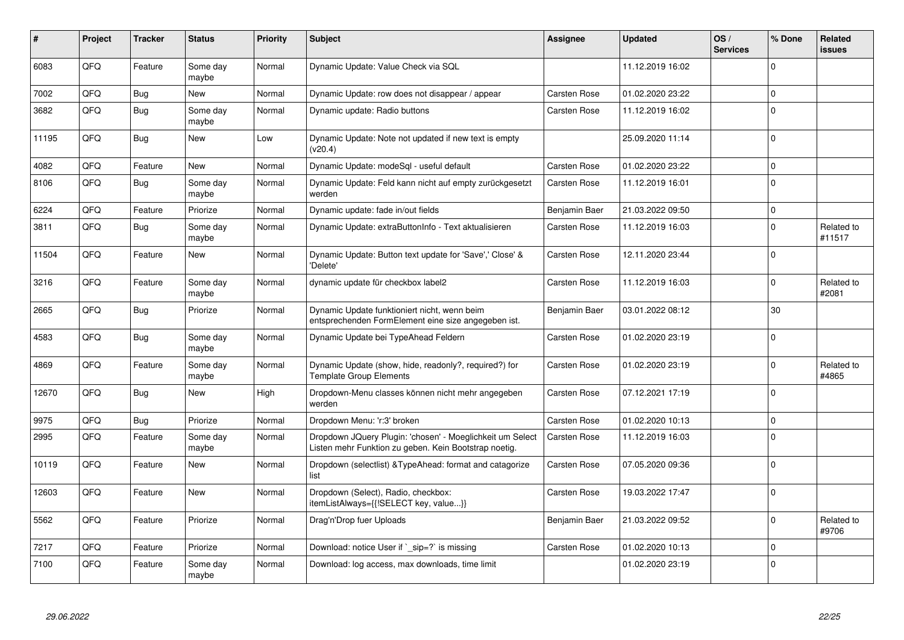| ∦     | Project | <b>Tracker</b> | <b>Status</b>     | <b>Priority</b> | <b>Subject</b>                                                                                                     | Assignee            | <b>Updated</b>   | OS/<br><b>Services</b> | % Done      | Related<br>issues    |
|-------|---------|----------------|-------------------|-----------------|--------------------------------------------------------------------------------------------------------------------|---------------------|------------------|------------------------|-------------|----------------------|
| 6083  | QFQ     | Feature        | Some day<br>maybe | Normal          | Dynamic Update: Value Check via SQL                                                                                |                     | 11.12.2019 16:02 |                        | $\Omega$    |                      |
| 7002  | QFQ     | Bug            | <b>New</b>        | Normal          | Dynamic Update: row does not disappear / appear                                                                    | Carsten Rose        | 01.02.2020 23:22 |                        | $\Omega$    |                      |
| 3682  | QFQ     | <b>Bug</b>     | Some day<br>maybe | Normal          | Dynamic update: Radio buttons                                                                                      | Carsten Rose        | 11.12.2019 16:02 |                        | $\Omega$    |                      |
| 11195 | QFQ     | Bug            | New               | Low             | Dynamic Update: Note not updated if new text is empty<br>(v20.4)                                                   |                     | 25.09.2020 11:14 |                        | $\mathbf 0$ |                      |
| 4082  | QFQ     | Feature        | <b>New</b>        | Normal          | Dynamic Update: modeSql - useful default                                                                           | Carsten Rose        | 01.02.2020 23:22 |                        | $\mathbf 0$ |                      |
| 8106  | QFQ     | Bug            | Some day<br>maybe | Normal          | Dynamic Update: Feld kann nicht auf empty zurückgesetzt<br>werden                                                  | <b>Carsten Rose</b> | 11.12.2019 16:01 |                        | $\Omega$    |                      |
| 6224  | QFQ     | Feature        | Priorize          | Normal          | Dynamic update: fade in/out fields                                                                                 | Benjamin Baer       | 21.03.2022 09:50 |                        | $\mathbf 0$ |                      |
| 3811  | QFQ     | <b>Bug</b>     | Some day<br>maybe | Normal          | Dynamic Update: extraButtonInfo - Text aktualisieren                                                               | Carsten Rose        | 11.12.2019 16:03 |                        | $\Omega$    | Related to<br>#11517 |
| 11504 | QFQ     | Feature        | <b>New</b>        | Normal          | Dynamic Update: Button text update for 'Save',' Close' &<br>'Delete'                                               | Carsten Rose        | 12.11.2020 23:44 |                        | $\Omega$    |                      |
| 3216  | QFQ     | Feature        | Some day<br>maybe | Normal          | dynamic update für checkbox label2                                                                                 | Carsten Rose        | 11.12.2019 16:03 |                        | $\Omega$    | Related to<br>#2081  |
| 2665  | QFQ     | Bug            | Priorize          | Normal          | Dynamic Update funktioniert nicht, wenn beim<br>entsprechenden FormElement eine size angegeben ist.                | Benjamin Baer       | 03.01.2022 08:12 |                        | 30          |                      |
| 4583  | QFQ     | Bug            | Some day<br>maybe | Normal          | Dynamic Update bei TypeAhead Feldern                                                                               | <b>Carsten Rose</b> | 01.02.2020 23:19 |                        | $\mathbf 0$ |                      |
| 4869  | QFQ     | Feature        | Some day<br>maybe | Normal          | Dynamic Update (show, hide, readonly?, required?) for<br><b>Template Group Elements</b>                            | Carsten Rose        | 01.02.2020 23:19 |                        | $\Omega$    | Related to<br>#4865  |
| 12670 | QFQ     | Bug            | <b>New</b>        | High            | Dropdown-Menu classes können nicht mehr angegeben<br>werden                                                        | Carsten Rose        | 07.12.2021 17:19 |                        | $\Omega$    |                      |
| 9975  | QFQ     | <b>Bug</b>     | Priorize          | Normal          | Dropdown Menu: 'r:3' broken                                                                                        | Carsten Rose        | 01.02.2020 10:13 |                        | $\Omega$    |                      |
| 2995  | QFQ     | Feature        | Some day<br>maybe | Normal          | Dropdown JQuery Plugin: 'chosen' - Moeglichkeit um Select<br>Listen mehr Funktion zu geben. Kein Bootstrap noetig. | Carsten Rose        | 11.12.2019 16:03 |                        | $\Omega$    |                      |
| 10119 | QFQ     | Feature        | <b>New</b>        | Normal          | Dropdown (selectlist) & Type Ahead: format and catagorize<br>list                                                  | Carsten Rose        | 07.05.2020 09:36 |                        | $\Omega$    |                      |
| 12603 | QFQ     | Feature        | <b>New</b>        | Normal          | Dropdown (Select), Radio, checkbox:<br>itemListAlways={{!SELECT key, value}}                                       | Carsten Rose        | 19.03.2022 17:47 |                        | $\Omega$    |                      |
| 5562  | QFQ     | Feature        | Priorize          | Normal          | Drag'n'Drop fuer Uploads                                                                                           | Benjamin Baer       | 21.03.2022 09:52 |                        | $\Omega$    | Related to<br>#9706  |
| 7217  | QFQ     | Feature        | Priorize          | Normal          | Download: notice User if `_sip=?` is missing                                                                       | Carsten Rose        | 01.02.2020 10:13 |                        | $\Omega$    |                      |
| 7100  | QFQ     | Feature        | Some day<br>maybe | Normal          | Download: log access, max downloads, time limit                                                                    |                     | 01.02.2020 23:19 |                        | $\Omega$    |                      |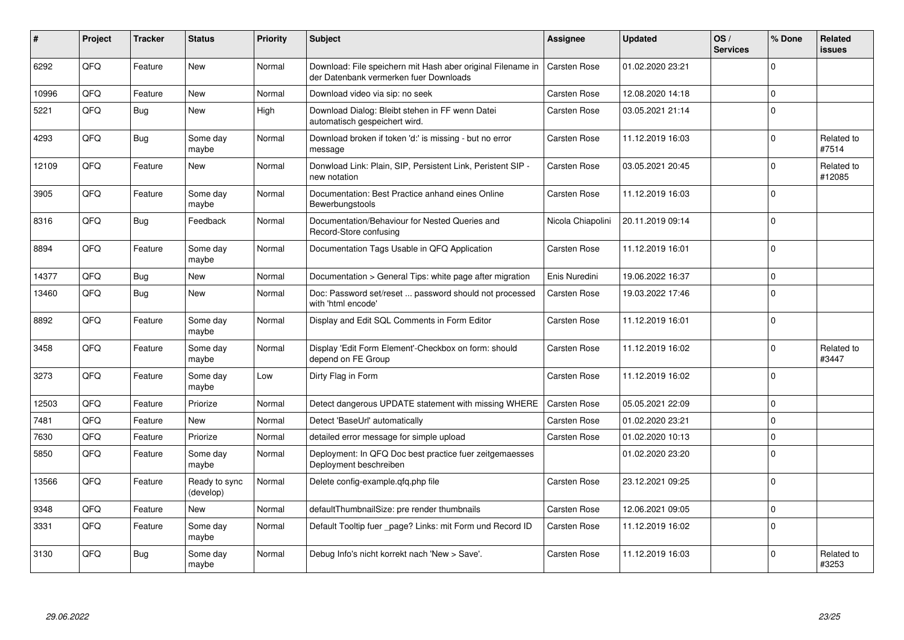| ∦     | Project | <b>Tracker</b> | <b>Status</b>              | Priority | <b>Subject</b>                                                                                        | <b>Assignee</b>     | <b>Updated</b>   | OS/<br><b>Services</b> | % Done      | Related<br>issues    |
|-------|---------|----------------|----------------------------|----------|-------------------------------------------------------------------------------------------------------|---------------------|------------------|------------------------|-------------|----------------------|
| 6292  | QFQ     | Feature        | <b>New</b>                 | Normal   | Download: File speichern mit Hash aber original Filename in<br>der Datenbank vermerken fuer Downloads | Carsten Rose        | 01.02.2020 23:21 |                        | $\Omega$    |                      |
| 10996 | QFQ     | Feature        | <b>New</b>                 | Normal   | Download video via sip: no seek                                                                       | Carsten Rose        | 12.08.2020 14:18 |                        | $\Omega$    |                      |
| 5221  | QFQ     | <b>Bug</b>     | <b>New</b>                 | High     | Download Dialog: Bleibt stehen in FF wenn Datei<br>automatisch gespeichert wird.                      | Carsten Rose        | 03.05.2021 21:14 |                        | $\Omega$    |                      |
| 4293  | QFQ     | Bug            | Some day<br>maybe          | Normal   | Download broken if token 'd:' is missing - but no error<br>message                                    | Carsten Rose        | 11.12.2019 16:03 |                        | $\Omega$    | Related to<br>#7514  |
| 12109 | QFQ     | Feature        | <b>New</b>                 | Normal   | Donwload Link: Plain, SIP, Persistent Link, Peristent SIP -<br>new notation                           | Carsten Rose        | 03.05.2021 20:45 |                        | $\Omega$    | Related to<br>#12085 |
| 3905  | QFQ     | Feature        | Some day<br>maybe          | Normal   | Documentation: Best Practice anhand eines Online<br>Bewerbungstools                                   | Carsten Rose        | 11.12.2019 16:03 |                        | $\mathbf 0$ |                      |
| 8316  | QFQ     | <b>Bug</b>     | Feedback                   | Normal   | Documentation/Behaviour for Nested Queries and<br>Record-Store confusing                              | Nicola Chiapolini   | 20.11.2019 09:14 |                        | $\Omega$    |                      |
| 8894  | QFQ     | Feature        | Some day<br>maybe          | Normal   | Documentation Tags Usable in QFQ Application                                                          | Carsten Rose        | 11.12.2019 16:01 |                        | $\Omega$    |                      |
| 14377 | QFQ     | Bug            | <b>New</b>                 | Normal   | Documentation > General Tips: white page after migration                                              | Enis Nuredini       | 19.06.2022 16:37 |                        | $\mathbf 0$ |                      |
| 13460 | QFQ     | <b>Bug</b>     | New                        | Normal   | Doc: Password set/reset  password should not processed<br>with 'html encode'                          | Carsten Rose        | 19.03.2022 17:46 |                        | $\Omega$    |                      |
| 8892  | QFQ     | Feature        | Some day<br>maybe          | Normal   | Display and Edit SQL Comments in Form Editor                                                          | Carsten Rose        | 11.12.2019 16:01 |                        | $\Omega$    |                      |
| 3458  | QFQ     | Feature        | Some day<br>maybe          | Normal   | Display 'Edit Form Element'-Checkbox on form: should<br>depend on FE Group                            | Carsten Rose        | 11.12.2019 16:02 |                        | $\Omega$    | Related to<br>#3447  |
| 3273  | QFQ     | Feature        | Some day<br>maybe          | Low      | Dirty Flag in Form                                                                                    | Carsten Rose        | 11.12.2019 16:02 |                        | $\Omega$    |                      |
| 12503 | QFQ     | Feature        | Priorize                   | Normal   | Detect dangerous UPDATE statement with missing WHERE                                                  | <b>Carsten Rose</b> | 05.05.2021 22:09 |                        | $\Omega$    |                      |
| 7481  | QFQ     | Feature        | <b>New</b>                 | Normal   | Detect 'BaseUrl' automatically                                                                        | Carsten Rose        | 01.02.2020 23:21 |                        | $\Omega$    |                      |
| 7630  | QFQ     | Feature        | Priorize                   | Normal   | detailed error message for simple upload                                                              | Carsten Rose        | 01.02.2020 10:13 |                        | $\Omega$    |                      |
| 5850  | QFQ     | Feature        | Some day<br>maybe          | Normal   | Deployment: In QFQ Doc best practice fuer zeitgemaesses<br>Deployment beschreiben                     |                     | 01.02.2020 23:20 |                        | $\Omega$    |                      |
| 13566 | QFQ     | Feature        | Ready to sync<br>(develop) | Normal   | Delete config-example.qfq.php file                                                                    | Carsten Rose        | 23.12.2021 09:25 |                        | $\Omega$    |                      |
| 9348  | QFQ     | Feature        | <b>New</b>                 | Normal   | defaultThumbnailSize: pre render thumbnails                                                           | Carsten Rose        | 12.06.2021 09:05 |                        | $\Omega$    |                      |
| 3331  | QFQ     | Feature        | Some day<br>maybe          | Normal   | Default Tooltip fuer page? Links: mit Form und Record ID                                              | Carsten Rose        | 11.12.2019 16:02 |                        | $\Omega$    |                      |
| 3130  | QFQ     | Bug            | Some day<br>maybe          | Normal   | Debug Info's nicht korrekt nach 'New > Save'.                                                         | Carsten Rose        | 11.12.2019 16:03 |                        | $\Omega$    | Related to<br>#3253  |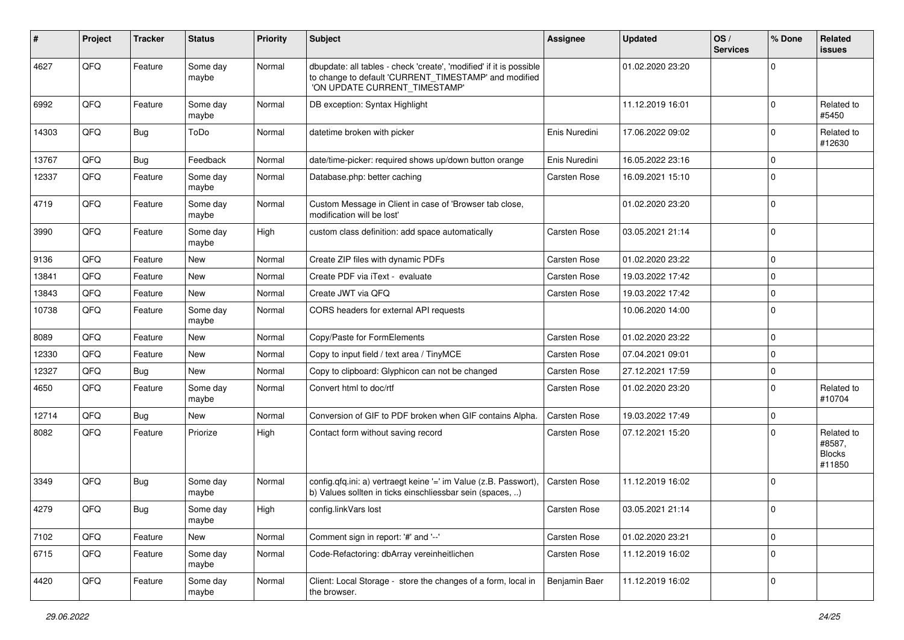| ∦     | Project | <b>Tracker</b> | <b>Status</b>     | <b>Priority</b> | Subject                                                                                                                                                       | <b>Assignee</b> | <b>Updated</b>   | OS/<br><b>Services</b> | % Done              | Related<br>issues                               |
|-------|---------|----------------|-------------------|-----------------|---------------------------------------------------------------------------------------------------------------------------------------------------------------|-----------------|------------------|------------------------|---------------------|-------------------------------------------------|
| 4627  | QFQ     | Feature        | Some day<br>maybe | Normal          | dbupdate: all tables - check 'create', 'modified' if it is possible<br>to change to default 'CURRENT_TIMESTAMP' and modified<br>'ON UPDATE CURRENT_TIMESTAMP' |                 | 01.02.2020 23:20 |                        | $\mathbf 0$         |                                                 |
| 6992  | QFQ     | Feature        | Some day<br>maybe | Normal          | DB exception: Syntax Highlight                                                                                                                                |                 | 11.12.2019 16:01 |                        | $\mathbf 0$         | Related to<br>#5450                             |
| 14303 | QFQ     | Bug            | ToDo              | Normal          | datetime broken with picker                                                                                                                                   | Enis Nuredini   | 17.06.2022 09:02 |                        | $\mathbf 0$         | Related to<br>#12630                            |
| 13767 | QFQ     | Bug            | Feedback          | Normal          | date/time-picker: required shows up/down button orange                                                                                                        | Enis Nuredini   | 16.05.2022 23:16 |                        | $\mathbf 0$         |                                                 |
| 12337 | QFQ     | Feature        | Some day<br>maybe | Normal          | Database.php: better caching                                                                                                                                  | Carsten Rose    | 16.09.2021 15:10 |                        | $\mathbf 0$         |                                                 |
| 4719  | QFQ     | Feature        | Some day<br>maybe | Normal          | Custom Message in Client in case of 'Browser tab close,<br>modification will be lost'                                                                         |                 | 01.02.2020 23:20 |                        | $\Omega$            |                                                 |
| 3990  | QFQ     | Feature        | Some day<br>maybe | High            | custom class definition: add space automatically                                                                                                              | Carsten Rose    | 03.05.2021 21:14 |                        | $\Omega$            |                                                 |
| 9136  | QFQ     | Feature        | <b>New</b>        | Normal          | Create ZIP files with dynamic PDFs                                                                                                                            | Carsten Rose    | 01.02.2020 23:22 |                        | $\mathbf 0$         |                                                 |
| 13841 | QFQ     | Feature        | <b>New</b>        | Normal          | Create PDF via iText - evaluate                                                                                                                               | Carsten Rose    | 19.03.2022 17:42 |                        | $\mathbf 0$         |                                                 |
| 13843 | QFQ     | Feature        | <b>New</b>        | Normal          | Create JWT via QFQ                                                                                                                                            | Carsten Rose    | 19.03.2022 17:42 |                        | $\mathbf 0$         |                                                 |
| 10738 | QFQ     | Feature        | Some day<br>maybe | Normal          | CORS headers for external API requests                                                                                                                        |                 | 10.06.2020 14:00 |                        | $\mathbf 0$         |                                                 |
| 8089  | QFQ     | Feature        | <b>New</b>        | Normal          | Copy/Paste for FormElements                                                                                                                                   | Carsten Rose    | 01.02.2020 23:22 |                        | $\mathbf 0$         |                                                 |
| 12330 | QFQ     | Feature        | New               | Normal          | Copy to input field / text area / TinyMCE                                                                                                                     | Carsten Rose    | 07.04.2021 09:01 |                        | $\mathbf 0$         |                                                 |
| 12327 | QFQ     | <b>Bug</b>     | New               | Normal          | Copy to clipboard: Glyphicon can not be changed                                                                                                               | Carsten Rose    | 27.12.2021 17:59 |                        | $\mathbf 0$         |                                                 |
| 4650  | QFQ     | Feature        | Some day<br>maybe | Normal          | Convert html to doc/rtf                                                                                                                                       | Carsten Rose    | 01.02.2020 23:20 |                        | $\Omega$            | Related to<br>#10704                            |
| 12714 | QFQ     | Bug            | New               | Normal          | Conversion of GIF to PDF broken when GIF contains Alpha.                                                                                                      | Carsten Rose    | 19.03.2022 17:49 |                        | $\mathbf 0$         |                                                 |
| 8082  | QFQ     | Feature        | Priorize          | High            | Contact form without saving record                                                                                                                            | Carsten Rose    | 07.12.2021 15:20 |                        | $\Omega$            | Related to<br>#8587,<br><b>Blocks</b><br>#11850 |
| 3349  | QFQ     | Bug            | Some day<br>maybe | Normal          | config.qfq.ini: a) vertraegt keine '=' im Value (z.B. Passwort),<br>b) Values sollten in ticks einschliessbar sein (spaces, )                                 | Carsten Rose    | 11.12.2019 16:02 |                        | $\Omega$            |                                                 |
| 4279  | QFQ     | Bug            | Some day<br>maybe | High            | config.linkVars lost                                                                                                                                          | Carsten Rose    | 03.05.2021 21:14 |                        | l O                 |                                                 |
| 7102  | QFQ     | Feature        | New               | Normal          | Comment sign in report: '#' and '--'                                                                                                                          | Carsten Rose    | 01.02.2020 23:21 |                        | $\mathsf{O}\xspace$ |                                                 |
| 6715  | QFQ     | Feature        | Some day<br>maybe | Normal          | Code-Refactoring: dbArray vereinheitlichen                                                                                                                    | Carsten Rose    | 11.12.2019 16:02 |                        | $\mathbf 0$         |                                                 |
| 4420  | QFQ     | Feature        | Some day<br>maybe | Normal          | Client: Local Storage - store the changes of a form, local in<br>the browser.                                                                                 | Benjamin Baer   | 11.12.2019 16:02 |                        | $\mathbf 0$         |                                                 |